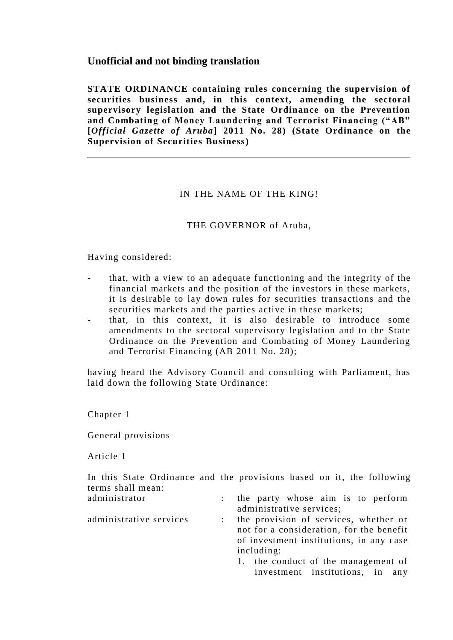# **Unofficial and not binding translation**

**STATE ORDINANCE containing rules concerning the supervision of securities business and, in this context, amending the sectoral supervisory legislation and the State Ordinance on the Prevention and Combating of Money Laundering and Terrorist Financing ("AB" [***Official Gazette of Aruba***] 2011 No. 28) (State Ordinance on the Supervision of Securities Business)**

# IN THE NAME OF THE KING!

#### THE GOVERNOR of Aruba,

#### Having considered:

- that, with a view to an adequate functioning and the integrity of the financial markets and the position of the investors in these markets, it is desirable to lay down rules for securities transactions and the securities markets and the parties active in these markets;
- that, in this context, it is also desirable to introduce some amendments to the sectoral supervisory legislation and to the State Ordinance on the Prevention and Combating of Money Laundering and Terrorist Financing (AB 2011 No. 28);

having heard the Advisory Council and consulting with Parliament, has laid down the following State Ordinance:

Chapter 1

General provisions

Article 1

In this State Ordinance and the provisions based on it, the following terms shall mean:

- administrator : the party whose aim is to perform administrative services;
- administrative services : the provision of services, whether or not for a consideration, for the benefit of investment institutions, in any case including:
	- 1. the conduct of the management of investment institutions, in any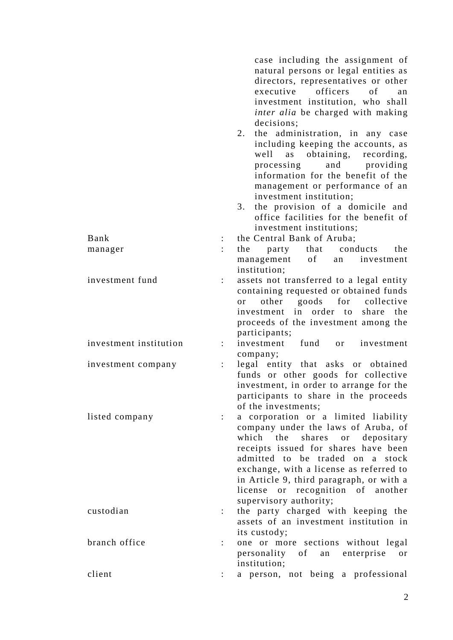|                        |                      | case including the assignment of<br>natural persons or legal entities as<br>directors, representatives or other<br>officers<br>executive<br>of<br>an<br>investment institution, who shall<br>inter alia be charged with making<br>decisions;<br>2.<br>the administration, in any case<br>including keeping the accounts, as<br>obtaining, recording,<br>well<br>as<br>and providing<br>processing<br>information for the benefit of the<br>management or performance of an<br>investment institution;<br>the provision of a domicile and<br>3.<br>office facilities for the benefit of |
|------------------------|----------------------|----------------------------------------------------------------------------------------------------------------------------------------------------------------------------------------------------------------------------------------------------------------------------------------------------------------------------------------------------------------------------------------------------------------------------------------------------------------------------------------------------------------------------------------------------------------------------------------|
|                        |                      | investment institutions;                                                                                                                                                                                                                                                                                                                                                                                                                                                                                                                                                               |
| Bank                   | $\ddot{\phantom{0}}$ | the Central Bank of Aruba;                                                                                                                                                                                                                                                                                                                                                                                                                                                                                                                                                             |
| manager                |                      | party that conducts<br>the<br>the                                                                                                                                                                                                                                                                                                                                                                                                                                                                                                                                                      |
|                        |                      | management<br>of<br>an investment<br>institution;                                                                                                                                                                                                                                                                                                                                                                                                                                                                                                                                      |
| investment fund        |                      | assets not transferred to a legal entity<br>containing requested or obtained funds<br>goods for collective<br>other<br><sub>or</sub><br>investment in order to share the<br>proceeds of the investment among the                                                                                                                                                                                                                                                                                                                                                                       |
|                        |                      | participants;                                                                                                                                                                                                                                                                                                                                                                                                                                                                                                                                                                          |
| investment institution |                      | investment<br>fund<br>or<br>investment<br>company;                                                                                                                                                                                                                                                                                                                                                                                                                                                                                                                                     |
| investment company     | $\ddot{\phantom{0}}$ | legal entity that asks or obtained<br>funds or other goods for collective<br>investment, in order to arrange for the<br>participants to share in the proceeds<br>of the investments;                                                                                                                                                                                                                                                                                                                                                                                                   |
| listed company         |                      | a corporation or a limited liability<br>company under the laws of Aruba, of<br>which the shares or depositary<br>receipts issued for shares have been<br>admitted to be traded on a stock<br>exchange, with a license as referred to<br>in Article 9, third paragraph, or with a<br>license or recognition of another<br>supervisory authority;                                                                                                                                                                                                                                        |
| custodian              | $\ddot{\phantom{0}}$ | the party charged with keeping the<br>assets of an investment institution in<br>its custody;                                                                                                                                                                                                                                                                                                                                                                                                                                                                                           |
| branch office          |                      | one or more sections without legal<br>personality of<br>enterprise<br>an<br>or<br>institution;                                                                                                                                                                                                                                                                                                                                                                                                                                                                                         |
| client                 |                      | a person, not being a professional                                                                                                                                                                                                                                                                                                                                                                                                                                                                                                                                                     |

2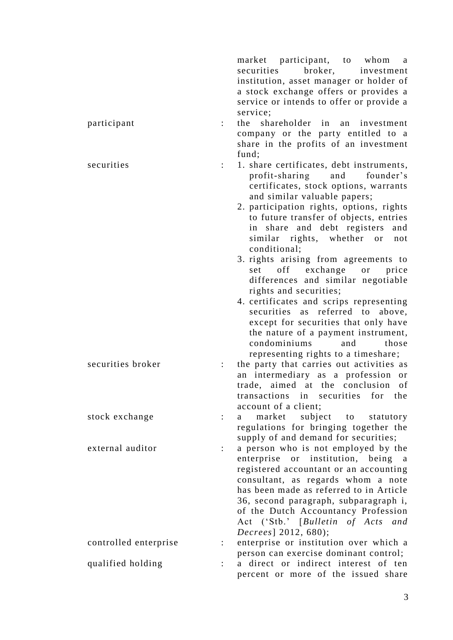|                       |                      | market participant, to whom<br><sub>a</sub>                |
|-----------------------|----------------------|------------------------------------------------------------|
|                       |                      | securities broker, investment                              |
|                       |                      | institution, asset manager or holder of                    |
|                       |                      | a stock exchange offers or provides a                      |
|                       |                      | service or intends to offer or provide a                   |
|                       |                      | service;                                                   |
| participant           |                      | shareholder in an investment<br>the                        |
|                       |                      | company or the party entitled to a                         |
|                       |                      | share in the profits of an investment                      |
|                       |                      | fund;                                                      |
| securities            |                      | 1. share certificates, debt instruments,                   |
|                       |                      | profit-sharing and founder's                               |
|                       |                      | certificates, stock options, warrants                      |
|                       |                      | and similar valuable papers;                               |
|                       |                      | 2. participation rights, options, rights                   |
|                       |                      | to future transfer of objects, entries                     |
|                       |                      | in share and debt registers<br>and                         |
|                       |                      | similar rights, whether or<br>not                          |
|                       |                      | conditional;                                               |
|                       |                      | 3. rights arising from agreements to                       |
|                       |                      | off exchange<br>or<br>price<br>set                         |
|                       |                      | differences and similar negotiable                         |
|                       |                      | rights and securities;                                     |
|                       |                      | 4. certificates and scrips representing                    |
|                       |                      | securities as referred to<br>above,                        |
|                       |                      | except for securities that only have                       |
|                       |                      | the nature of a payment instrument,                        |
|                       |                      | condominiums<br>and<br>those                               |
|                       |                      |                                                            |
| securities broker     |                      | representing rights to a timeshare;                        |
|                       |                      | the party that carries out activities as                   |
|                       |                      | an intermediary as a profession or                         |
|                       |                      | trade, aimed at the conclusion of                          |
|                       |                      | transactions in securities for the<br>account of a client; |
| stock exchange        | $\ddot{\cdot}$       | subject to<br>market<br>statutory<br>a                     |
|                       |                      | regulations for bringing together the                      |
|                       |                      | supply of and demand for securities;                       |
| external auditor      | $\ddot{\phantom{a}}$ | a person who is not employed by the                        |
|                       |                      | enterprise or institution, being a                         |
|                       |                      |                                                            |
|                       |                      | registered accountant or an accounting                     |
|                       |                      | consultant, as regards whom a note                         |
|                       |                      | has been made as referred to in Article                    |
|                       |                      | 36, second paragraph, subparagraph i,                      |
|                       |                      | of the Dutch Accountancy Profession                        |
|                       |                      | Act ('Stb.' [Bulletin of Acts and                          |
|                       |                      | <i>Decrees</i> ] 2012, 680);                               |
| controlled enterprise | $\ddot{\phantom{a}}$ | enterprise or institution over which a                     |
|                       |                      | person can exercise dominant control;                      |
| qualified holding     |                      | a direct or indirect interest of ten                       |
|                       |                      | percent or more of the issued share                        |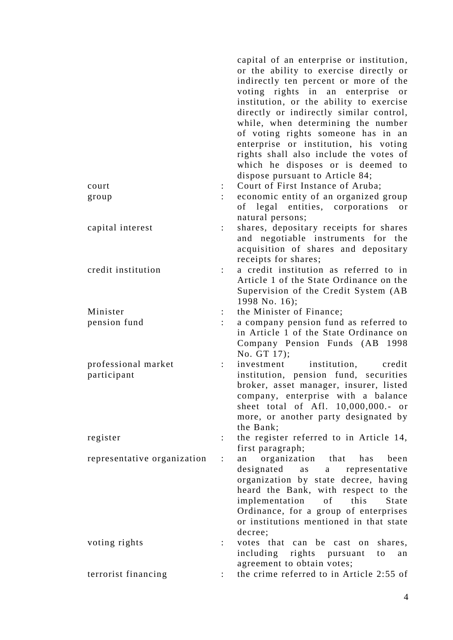|                                    |                      | capital of an enterprise or institution,<br>or the ability to exercise directly or<br>indirectly ten percent or more of the<br>voting rights in an enterprise or<br>institution, or the ability to exercise<br>directly or indirectly similar control,<br>while, when determining the number<br>of voting rights someone has in an<br>enterprise or institution, his voting<br>rights shall also include the votes of<br>which he disposes or is deemed to<br>dispose pursuant to Article 84; |
|------------------------------------|----------------------|-----------------------------------------------------------------------------------------------------------------------------------------------------------------------------------------------------------------------------------------------------------------------------------------------------------------------------------------------------------------------------------------------------------------------------------------------------------------------------------------------|
| court                              |                      | Court of First Instance of Aruba;                                                                                                                                                                                                                                                                                                                                                                                                                                                             |
| group                              |                      | economic entity of an organized group<br>of legal entities, corporations<br>or<br>natural persons;                                                                                                                                                                                                                                                                                                                                                                                            |
| capital interest                   |                      | shares, depositary receipts for shares<br>and negotiable instruments for the<br>acquisition of shares and depositary<br>receipts for shares;                                                                                                                                                                                                                                                                                                                                                  |
| credit institution                 |                      | a credit institution as referred to in<br>Article 1 of the State Ordinance on the<br>Supervision of the Credit System (AB<br>1998 No. 16);                                                                                                                                                                                                                                                                                                                                                    |
| Minister                           |                      | the Minister of Finance;                                                                                                                                                                                                                                                                                                                                                                                                                                                                      |
| pension fund                       |                      | a company pension fund as referred to<br>in Article 1 of the State Ordinance on<br>Company Pension Funds (AB 1998<br>No. GT 17);                                                                                                                                                                                                                                                                                                                                                              |
| professional market<br>participant |                      | investment institution, credit<br>institution, pension fund, securities<br>broker, asset manager, insurer, listed<br>company, enterprise with a balance<br>sheet total of Afl. 10,000,000.- or<br>more, or another party designated by<br>the Bank;                                                                                                                                                                                                                                           |
| register                           |                      | the register referred to in Article 14,<br>first paragraph;                                                                                                                                                                                                                                                                                                                                                                                                                                   |
| representative organization        | $\ddot{\phantom{a}}$ | organization that<br>has<br>been<br>an<br>designated<br>as<br>a representative<br>organization by state decree, having<br>heard the Bank, with respect to the<br>of this<br>implementation<br>State<br>Ordinance, for a group of enterprises<br>or institutions mentioned in that state<br>decree;                                                                                                                                                                                            |
| voting rights                      |                      | votes that can be cast on shares,<br>including rights pursuant<br>to<br>an<br>agreement to obtain votes;                                                                                                                                                                                                                                                                                                                                                                                      |
| terrorist financing                |                      | the crime referred to in Article 2:55 of                                                                                                                                                                                                                                                                                                                                                                                                                                                      |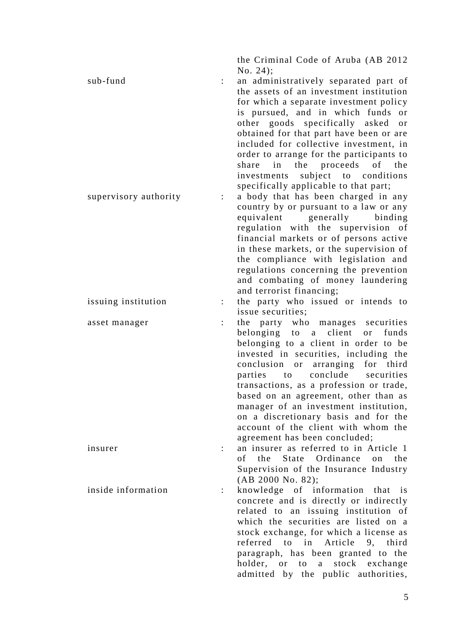the Criminal Code of Aruba (AB 2012 No. 24);

sub-fund : an administratively separated part of the assets of an investment institution for which a separate investment policy is pursued, and in which funds or other goods specifically asked or obtained for that part have been or are included for collective investment, in order to arrange for the participants to share in the proceeds of the investments subject to conditions specifically applicable to that part; supervisory authority : a body that has been charged in any country by or pursuant to a law or any equivalent generally binding regulation with the supervision of financial markets or of persons active

> in these markets, or the supervision of the compliance with legislation and regulations concerning the prevention and combating of money laundering and terrorist financing;

issuing institution : the party who issued or intends to issue securities;

asset manager : the party who manages securities belonging to a client or funds belonging to a client in order to be invested in securities, including the conclusion or arranging for third parties to conclude securities transactions, as a profession or trade, based on an agreement, other than as manager of an investment institution, on a discretionary basis and for the account of the client with whom the agreement has been concluded;

insurer : an insurer as referred to in Article 1 of the State Ordinance on the Supervision of the Insurance Industry (AB 2000 No. 82);

inside information : knowledge of information that is concrete and is directly or indirectly related to an issuing institution of which the securities are listed on a stock exchange, for which a license as referred to in Article 9, third paragraph, has been granted to the holder, or to a stock exchange admitted by the public authorities,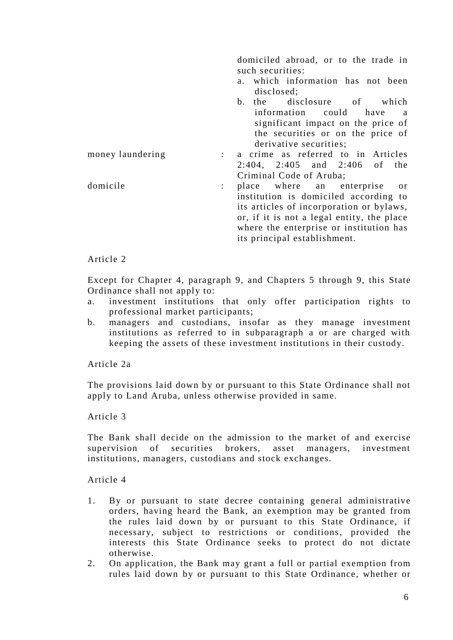domiciled abroad, or to the trade in such securities: a. which information has not been disclosed; b. the disclosure of which information could have a significant impact on the price of the securities or on the price of derivative securities; money laundering : a crime as referred to in Articles 2:404, 2:405 and 2:406 of the Criminal Code of Aruba; domicile : place where an enterprise or institution is domiciled according to its articles of incorporation or bylaws, or, if it is not a legal entity, the place where the enterprise or institution has its principal establishment.

## Article 2

Except for Chapter 4, paragraph 9, and Chapters 5 through 9, this State Ordinance shall not apply to:

- a. investment institutions that only offer participation rights to professional market participants;
- b. managers and custodians, insofar as they manage investment institutions as referred to in subparagraph a or are charged with keeping the assets of these investment institutions in their custody.

Article 2a

The provisions laid down by or pursuant to this State Ordinance shall not apply to Land Aruba, unless otherwise provided in same.

Article 3

The Bank shall decide on the admission to the market of and exercise supervision of securities brokers, asset managers, investment institutions, managers, custodians and stock exchanges.

- 1. By or pursuant to state decree containing general administrative orders, having heard the Bank, an exemption may be granted from the rules laid down by or pursuant to this State Ordinance, if necessary, subject to restrictions or conditions, provided the interests this State Ordinance seeks to protect do not dictate otherwise.
- 2. On application, the Bank may grant a full or partial exemption from rules laid down by or pursuant to this State Ordinance, whether or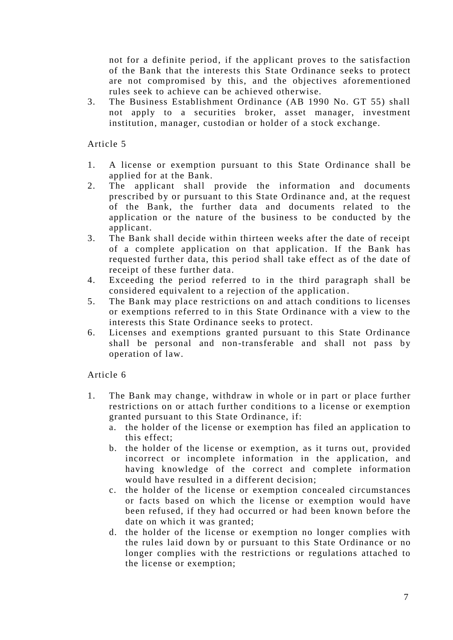not for a definite period, if the applicant proves to the satisfaction of the Bank that the interests this State Ordinance seeks to protect are not compromised by this, and the objectives aforementioned rules seek to achieve can be achieved otherwise.

3. The Business Establishment Ordinance (AB 1990 No. GT 55) shall not apply to a securities broker, asset manager, investment institution, manager, custodian or holder of a stock exchange.

Article 5

- 1. A license or exemption pursuant to this State Ordinance shall be applied for at the Bank.
- 2. The applicant shall provide the information and documents prescribed by or pursuant to this State Ordinance and, at the request of the Bank, the further data and documents related to the application or the nature of the business to be conducted by the applicant.
- 3. The Bank shall decide within thirteen weeks after the date of receipt of a complete application on that application. If the Bank has requested further data, this period shall take effect as of the date of receipt of these further data.
- 4. Exceeding the period referred to in the third paragraph shall be considered equivalent to a rejection of the application .
- 5. The Bank may place restrictions on and attach conditions to licenses or exemptions referred to in this State Ordinance with a view to the interests this State Ordinance seeks to protect.
- 6. Licenses and exemptions granted pursuant to this State Ordinance shall be personal and non-transferable and shall not pass by operation of law.

- 1. The Bank may change, withdraw in whole or in part or place further restrictions on or attach further conditions to a license or exemption granted pursuant to this State Ordinance, if:
	- a. the holder of the license or exemption has filed an application to this effect;
	- b. the holder of the license or exemption, as it turns out, provided incorrect or incomplete information in the application, and having knowledge of the correct and complete information would have resulted in a different decision;
	- c. the holder of the license or exemption concealed circumstances or facts based on which the license or exemption would have been refused, if they had occurred or had been known before the date on which it was granted;
	- d. the holder of the license or exemption no longer complies with the rules laid down by or pursuant to this State Ordinance or no longer complies with the restrictions or regulations attached to the license or exemption;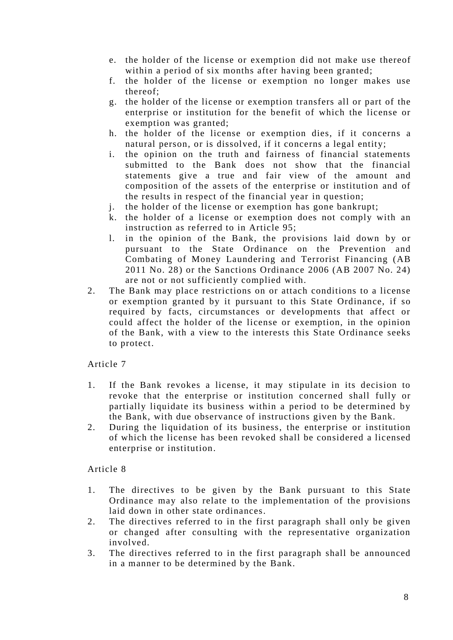- e. the holder of the license or exemption did not make use thereof within a period of six months after having been granted;
- f. the holder of the license or exemption no longer makes use thereof;
- g. the holder of the license or exemption transfers all or part of the enterprise or institution for the benefit of which the license or exemption was granted;
- h. the holder of the license or exemption dies, if it concerns a natural person, or is dissolved, if it concerns a legal entity;
- i. the opinion on the truth and fairness of financial statements submitted to the Bank does not show that the financial statements give a true and fair view of the amount and composition of the assets of the enterprise or institution and of the results in respect of the financial year in question;
- j. the holder of the license or exemption has gone bankrupt;
- k. the holder of a license or exemption does not comply with an instruction as referred to in Article 95;
- l. in the opinion of the Bank, the provisions laid down by or pursuant to the State Ordinance on the Prevention and Combating of Money Laundering and Terrorist Financing (AB 2011 No. 28) or the Sanctions Ordinance 2006 (AB 2007 No. 24) are not or not sufficiently complied with.
- 2. The Bank may place restrictions on or attach conditions to a license or exemption granted by it pursuant to this State Ordinance, if so required by facts, circumstances or developments that affect or could affect the holder of the license or exemption, in the opinion of the Bank, with a view to the interests this State Ordinance seeks to protect.

- 1. If the Bank revokes a license, it may stipulate in its decision to revoke that the enterprise or institution concerned shall fully or partially liquidate its business within a period to be determined by the Bank, with due observance of instructions given by the Bank.
- 2. During the liquidation of its business, the enterprise or institution of which the license has been revoked shall be considered a licensed enterprise or institution.

- 1. The directives to be given by the Bank pursuant to this State Ordinance may also relate to the implementation of the provisions laid down in other state ordinances.
- 2. The directives referred to in the first paragraph shall only be given or changed after consulting with the representative organization involved.
- 3. The directives referred to in the first paragraph shall be announced in a manner to be determined by the Bank.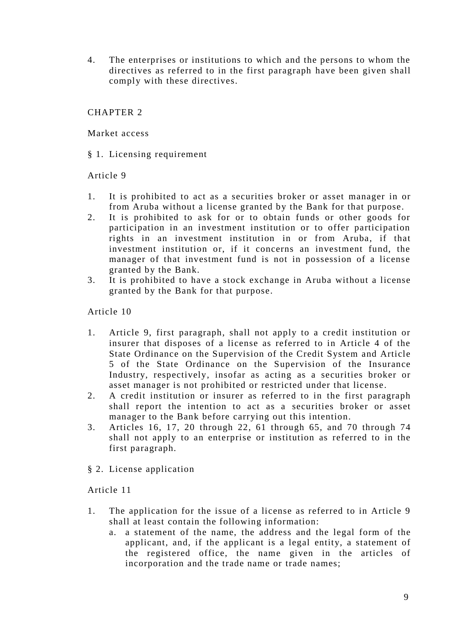4. The enterprises or institutions to which and the persons to whom the directives as referred to in the first paragraph have been given shall comply with these directives.

# CHAPTER 2

Market access

§ 1. Licensing requirement

# Article 9

- 1. It is prohibited to act as a securities broker or asset manager in or from Aruba without a license granted by the Bank for that purpose.
- 2. It is prohibited to ask for or to obtain funds or other goods for participation in an investment institution or to offer participation rights in an investment institution in or from Aruba, if that investment institution or, if it concerns an investment fund, the manager of that investment fund is not in possession of a license granted by the Bank.
- 3. It is prohibited to have a stock exchange in Aruba without a license granted by the Bank for that purpose.

Article 10

- 1. Article 9, first paragraph, shall not apply to a credit institution or insurer that disposes of a license as referred to in Article 4 of the State Ordinance on the Supervision of the Credit System and Article 5 of the State Ordinance on the Supervision of the Insurance Industry, respectively, insofar as acting as a securities broker or asset manager is not prohibited or restricted under that license.
- 2. A credit institution or insurer as referred to in the first paragraph shall report the intention to act as a securities broker or asset manager to the Bank before carrying out this intention.
- 3. Articles 16, 17, 20 through 22, 61 through 65, and 70 through 74 shall not apply to an enterprise or institution as referred to in the first paragraph.
- § 2. License application

- 1. The application for the issue of a license as referred to in Article 9 shall at least contain the following information:
	- a. a statement of the name, the address and the legal form of the applicant, and, if the applicant is a legal entity, a statement of the registered office, the name given in the articles of incorporation and the trade name or trade names;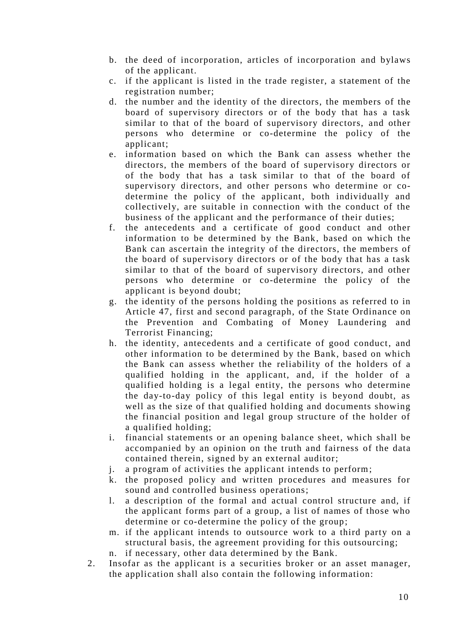- b. the deed of incorporation, articles of incorporation and bylaws of the applicant.
- c. if the applicant is listed in the trade register, a statement of the registration number;
- d. the number and the identity of the directors, the members of the board of supervisory directors or of the body that has a task similar to that of the board of supervisory directors, and other persons who determine or co-determine the policy of the applicant;
- e. information based on which the Bank can assess whether the directors, the members of the board of supervisory directors or of the body that has a task similar to that of the board of supervisory directors, and other persons who determine or codetermine the policy of the applicant, both individually and collectively, are suitable in connection with the conduct of the business of the applicant and the performance of their duties;
- f. the antecedents and a certificate of good conduct and other information to be determined by the Bank, based on which the Bank can ascertain the integrity of the directors, the members of the board of supervisory directors or of the body that has a task similar to that of the board of supervisory directors, and other persons who determine or co-determine the policy of the applicant is beyond doubt;
- g. the identity of the persons holding the positions as referred to in Article 47, first and second paragraph, of the State Ordinance on the Prevention and Combating of Money Laundering and Terrorist Financing;
- h. the identity, antecedents and a certificate of good conduct, and other information to be determined by the Bank, based on which the Bank can assess whether the reliability of the holders of a qualified holding in the applicant, and, if the holder of a qualified holding is a legal entity, the persons who determine the day-to-day policy of this legal entity is beyond doubt, as well as the size of that qualified holding and documents showing the financial position and legal group structure of the holder of a qualified holding;
- i. financial statements or an opening balance sheet, which shall be accompanied by an opinion on the truth and fairness of the data contained therein, signed by an external auditor;
- j. a program of activities the applicant intends to perform;
- k. the proposed policy and written procedures and measures for sound and controlled business operations;
- l. a description of the formal and actual control structure and, if the applicant forms part of a group, a list of names of those who determine or co-determine the policy of the group;
- m. if the applicant intends to outsource work to a third party on a structural basis, the agreement providing for this outsourcing;
- n. if necessary, other data determined by the Bank.
- 2. Insofar as the applicant is a securities broker or an asset manager, the application shall also contain the following information: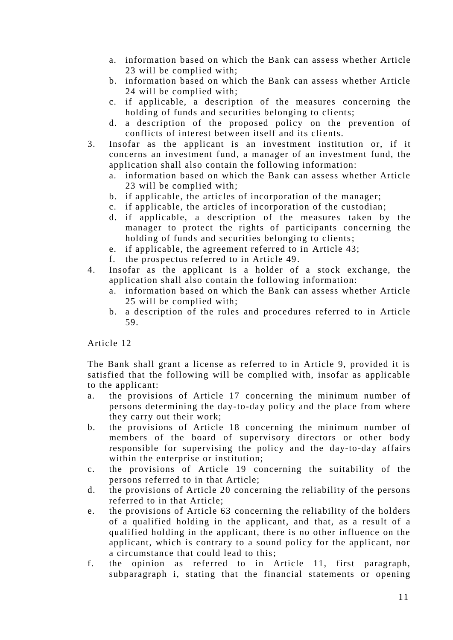- a. information based on which the Bank can assess whether Article 23 will be complied with;
- b. information based on which the Bank can assess whether Article 24 will be complied with;
- c. if applicable, a description of the measures concerning the holding of funds and securities belonging to clients;
- d. a description of the proposed policy on the prevention of conflicts of interest between itself and its clients.
- 3. Insofar as the applicant is an investment institution or, if it concerns an investment fund, a manager of an investment fund, the application shall also contain the following information:
	- a. information based on which the Bank can assess whether Article 23 will be complied with;
	- b. if applicable, the articles of incorporation of the manager;
	- c. if applicable, the articles of incorporation of the custodian;
	- d. if applicable, a description of the measures taken by the manager to protect the rights of participants concerning the holding of funds and securities belonging to clients;
	- e. if applicable, the agreement referred to in Article 43;
	- f. the prospectus referred to in Article 49.
- 4. Insofar as the applicant is a holder of a stock exchange, the application shall also contain the following information:
	- a. information based on which the Bank can assess whether Article 25 will be complied with;
	- b. a description of the rules and procedures referred to in Article 59.

The Bank shall grant a license as referred to in Article 9, provided it is satisfied that the following will be complied with, insofar as applicable to the applicant:

- a. the provisions of Article 17 concerning the minimum number of persons determining the day-to-day policy and the place from where they carry out their work;
- b. the provisions of Article 18 concerning the minimum number of members of the board of supervisory directors or other body responsible for supervising the policy and the day-to-day affairs within the enterprise or institution;
- c. the provisions of Article 19 concerning the suitability of the persons referred to in that Article;
- d. the provisions of Article 20 concerning the reliability of the persons referred to in that Article;
- e. the provisions of Article 63 concerning the reliability of the holders of a qualified holding in the applicant, and that, as a result of a qualified holding in the applicant, there is no other influence on the applicant, which is contrary to a sound policy for the applicant, nor a circumstance that could lead to this;
- f. the opinion as referred to in Article 11, first paragraph, subparagraph i, stating that the financial statements or opening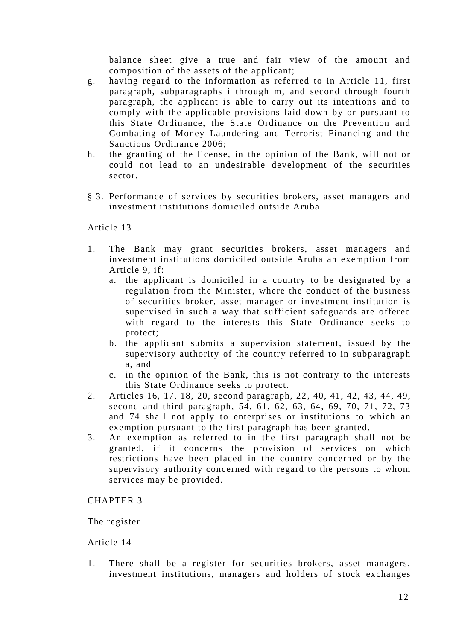balance sheet give a true and fair view of the amount and composition of the assets of the applicant;

- g. having regard to the information as referred to in Article 11, first paragraph, subparagraphs i through m, and second through fourth paragraph, the applicant is able to carry out its intentions and to comply with the applicable provisions laid down by or pursuant to this State Ordinance, the State Ordinance on the Prevention and Combating of Money Laundering and Terrorist Financing and the Sanctions Ordinance 2006;
- h. the granting of the license, in the opinion of the Bank, will not or could not lead to an undesirable development of the securities sector.
- § 3. Performance of services by securities brokers, asset managers and investment institutions domiciled outside Aruba

## Article 13

- 1. The Bank may grant securities brokers, asset managers and investment institutions domiciled outside Aruba an exemption from Article 9, if:
	- a. the applicant is domiciled in a country to be designated by a regulation from the Minister, where the conduct of the business of securities broker, asset manager or investment institution is supervised in such a way that sufficient safeguards are offered with regard to the interests this State Ordinance seeks to protect;
	- b. the applicant submits a supervision statement, issued by the supervisory authority of the country referred to in subparagraph a, and
	- c. in the opinion of the Bank, this is not contrary to the interests this State Ordinance seeks to protect.
- 2. Articles 16, 17, 18, 20, second paragraph, 22 , 40, 41, 42, 43, 44, 49, second and third paragraph, 54, 61, 62, 63, 64, 69, 70, 71, 72, 73 and 74 shall not apply to enterprises or institutions to which an exemption pursuant to the first paragraph has been granted.
- 3. An exemption as referred to in the first paragraph shall not be granted, if it concerns the provision of services on which restrictions have been placed in the country concerned or by the supervisory authority concerned with regard to the persons to whom services may be provided.

#### CHAPTER 3

The register

# Article 14

1. There shall be a register for securities brokers, asset managers, investment institutions, managers and holders of stock exchanges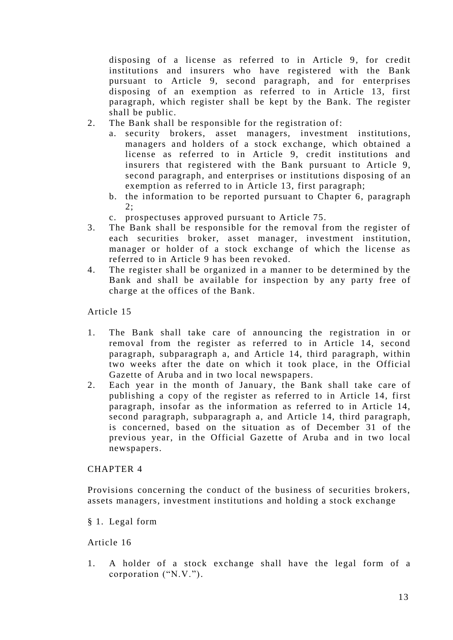disposing of a license as referred to in Article 9, for credit institutions and insurers who have registered with the Bank pursuant to Article 9, second paragraph, and for enterprises disposing of an exemption as referred to in Article 13, first paragraph, which register shall be kept by the Bank. The register shall be public.

- 2. The Bank shall be responsible for the registration of:
	- a. security brokers, asset managers, investment institutions, managers and holders of a stock exchange, which obtained a license as referred to in Article 9, credit institutions and insurers that registered with the Bank pursuant to Article 9, second paragraph, and enterprises or institutions disposing of an exemption as referred to in Article 13, first paragraph;
	- b. the information to be reported pursuant to Chapter 6, paragraph  $2:$
	- c. prospectuses approved pursuant to Article 75.
- 3. The Bank shall be responsible for the removal from the register of each securities broker, asset manager, investment institution, manager or holder of a stock exchange of which the license as referred to in Article 9 has been revoked.
- 4. The register shall be organized in a manner to be determined by the Bank and shall be available for inspection by any party free of charge at the offices of the Bank.

Article 15

- 1. The Bank shall take care of announcing the registration in or removal from the register as referred to in Article 14, second paragraph, subparagraph a, and Article 14, third paragraph, within two weeks after the date on which it took place, in the Official Gazette of Aruba and in two local newspapers.
- 2. Each year in the month of January, the Bank shall take care of publishing a copy of the register as referred to in Article 14, first paragraph, insofar as the information as referred to in Article 14, second paragraph, subparagraph a, and Article 14, third paragraph, is concerned, based on the situation as of December 31 of the previous year, in the Official Gazette of Aruba and in two local newspapers.

# CHAPTER 4

Provisions concerning the conduct of the business of securities brokers, assets managers, investment institutions and holding a stock exchange

§ 1. Legal form

Article 16

1. A holder of a stock exchange shall have the legal form of a corporation ("N.V.").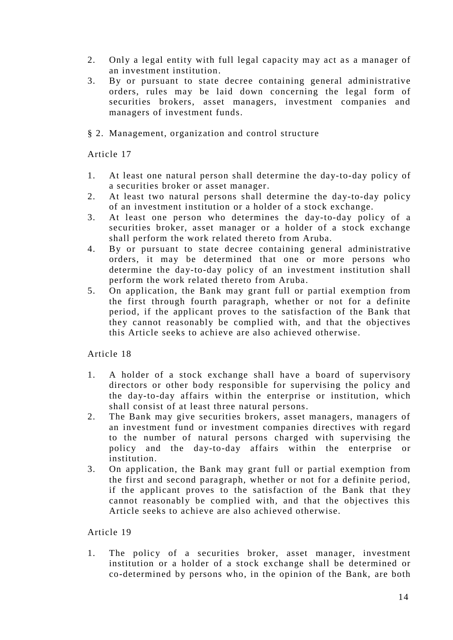- 2. Only a legal entity with full legal capacity may act as a manager of an investment institution.
- 3. By or pursuant to state decree containing general administrative orders, rules may be laid down concerning the legal form of securities brokers, asset managers, investment companies and managers of investment funds.
- § 2. Management, organization and control structure

- 1. At least one natural person shall determine the day-to-day policy of a securities broker or asset manager.
- 2. At least two natural persons shall determine the day-to-day policy of an investment institution or a holder of a stock exchange.
- 3. At least one person who determines the day-to-day policy of a securities broker, asset manager or a holder of a stock exchange shall perform the work related thereto from Aruba.
- 4. By or pursuant to state decree containing general administrative orders, it may be determined that one or more persons who determine the day-to-day policy of an investment institution shall perform the work related thereto from Aruba.
- 5. On application, the Bank may grant full or partial exemption from the first through fourth paragraph, whether or not for a definite period, if the applicant proves to the satisfaction of the Bank that they cannot reasonably be complied with, and that the objectives this Article seeks to achieve are also achieved otherwise.

Article 18

- 1. A holder of a stock exchange shall have a board of supervisory directors or other body responsible for supervising the policy and the day-to-day affairs within the enterprise or institution, which shall consist of at least three natural persons.
- 2. The Bank may give securities brokers, asset managers, managers of an investment fund or investment companies directives with regard to the number of natural persons charged with supervising the policy and the day-to-day affairs within the enterprise or institution.
- 3. On application, the Bank may grant full or partial exemption from the first and second paragraph, whether or not for a definite period, if the applicant proves to the satisfaction of the Bank that they cannot reasonably be complied with, and that the objectives this Article seeks to achieve are also achieved otherwise.

Article 19

1. The policy of a securities broker, asset manager, investment institution or a holder of a stock exchange shall be determined or co-determined by persons who, in the opinion of the Bank, are both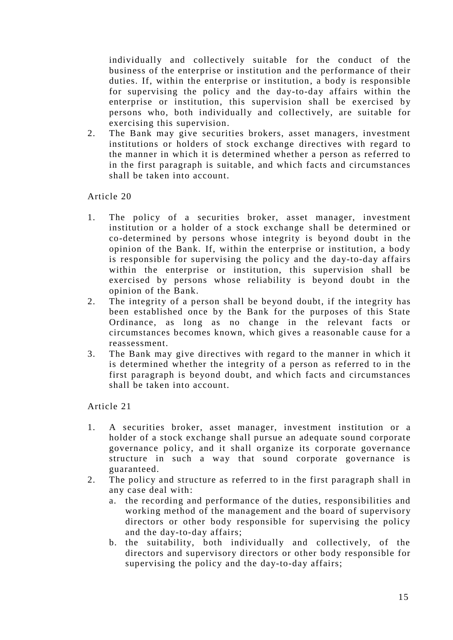individually and collectively suitable for the conduct of the business of the enterprise or institution and the performance of their duties. If, within the enterprise or institution, a body is responsible for supervising the policy and the day-to-day affairs within the enterprise or institution, this supervision shall be exercised by persons who, both individually and collectively, are suitable for exercising this supervision.

2. The Bank may give securities brokers, asset managers, investment institutions or holders of stock exchange directives with regard to the manner in which it is determined whether a person as referred to in the first paragraph is suitable, and which facts and circumstances shall be taken into account.

Article 20

- 1. The policy of a securities broker, asset manager, investment institution or a holder of a stock exchange shall be determined or co-determined by persons whose integrity is beyond doubt in the opinion of the Bank. If, within the enterprise or institution, a body is responsible for supervising the policy and the day-to-day affairs within the enterprise or institution, this supervision shall be exercised by persons whose reliability is beyond doubt in the opinion of the Bank.
- 2. The integrity of a person shall be beyond doubt, if the integrity has been established once by the Bank for the purposes of this State Ordinance, as long as no change in the relevant facts or circumstances becomes known, which gives a reasonable cause for a reassessment.
- 3. The Bank may give directives with regard to the manner in which it is determined whether the integrity of a person as referred to in the first paragraph is beyond doubt, and which facts and circumstances shall be taken into account.

- 1. A securities broker, asset manager, investment institution or a holder of a stock exchange shall pursue an adequate sound corporate governance policy, and it shall organize its corporate governance structure in such a way that sound corporate governance is guaranteed.
- 2. The policy and structure as referred to in the first paragraph shall in any case deal with:
	- a. the recording and performance of the duties, responsibilities and working method of the management and the board of supervisory directors or other body responsible for supervising the policy and the day-to-day affairs;
	- b. the suitability, both individually and collectively, of the directors and supervisory directors or other body responsible for supervising the policy and the day-to-day affairs;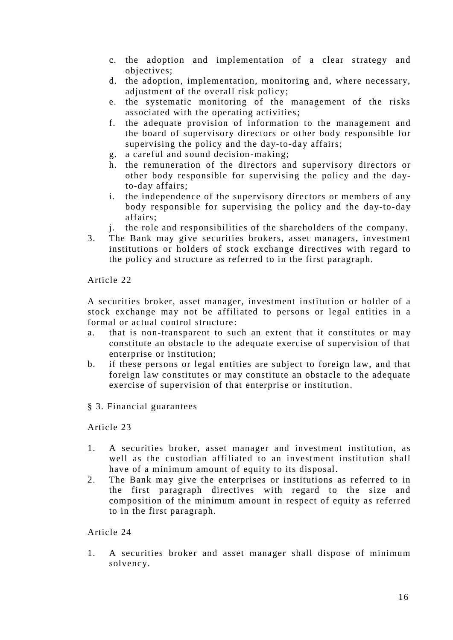- c. the adoption and implementation of a clear strategy and objectives;
- d. the adoption, implementation, monitoring and, where necessary, adjustment of the overall risk policy;
- e. the systematic monitoring of the management of the risks associated with the operating activities;
- f. the adequate provision of information to the management and the board of supervisory directors or other body responsible for supervising the policy and the day-to-day affairs;
- g. a careful and sound decision-making;
- h. the remuneration of the directors and supervisory directors or other body responsible for supervising the policy and the dayto-day affairs;
- i. the independence of the supervisory directors or members of any body responsible for supervising the policy and the day-to-day affairs;
- j. the role and responsibilities of the shareholders of the company.
- 3. The Bank may give securities brokers, asset managers, investment institutions or holders of stock exchange directives with regard to the policy and structure as referred to in the first paragraph.

A securities broker, asset manager, investment institution or holder of a stock exchange may not be affiliated to persons or legal entities in a formal or actual control structure:

- a. that is non-transparent to such an extent that it constitutes or may constitute an obstacle to the adequate exercise of supervision of that enterprise or institution;
- b. if these persons or legal entities are subject to foreign law, and that foreign law constitutes or may constitute an obstacle to the adequate exercise of supervision of that enterprise or institution.
- § 3. Financial guarantees

Article 23

- 1. A securities broker, asset manager and investment institution, as well as the custodian affiliated to an investment institution shall have of a minimum amount of equity to its disposal.
- 2. The Bank may give the enterprises or institutions as referred to in the first paragraph directives with regard to the size and composition of the minimum amount in respect of equity as referred to in the first paragraph.

# Article 24

1. A securities broker and asset manager shall dispose of minimum solvency.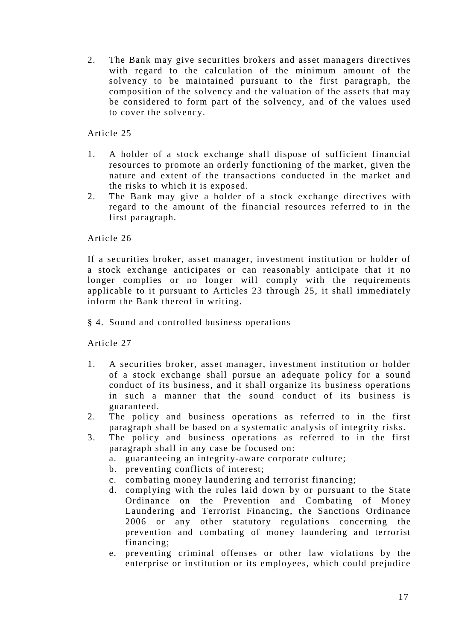2. The Bank may give securities brokers and asset managers directives with regard to the calculation of the minimum amount of the solvency to be maintained pursuant to the first paragraph, the composition of the solvency and the valuation of the assets that may be considered to form part of the solvency, and of the values used to cover the solvency.

Article 25

- 1. A holder of a stock exchange shall dispose of sufficient financial resources to promote an orderly functioning of the market, given the nature and extent of the transactions conducted in the market and the risks to which it is exposed.
- 2. The Bank may give a holder of a stock exchange directives with regard to the amount of the financial resources referred to in the first paragraph.

Article 26

If a securities broker, asset manager, investment institution or holder of a stock exchange anticipates or can reasonably anticipate that it no longer complies or no longer will comply with the requirements applicable to it pursuant to Articles 23 through 25, it shall immediately inform the Bank thereof in writing.

§ 4. Sound and controlled business operations

- 1. A securities broker, asset manager, investment institution or holder of a stock exchange shall pursue an adequate policy for a sound conduct of its business, and it shall organize its business operations in such a manner that the sound conduct of its business is guaranteed.
- 2. The policy and business operations as referred to in the first paragraph shall be based on a systematic analysis of integrity risks.
- 3. The policy and business operations as referred to in the first paragraph shall in any case be focused on:
	- a. guaranteeing an integrity-aware corporate culture;
	- b. preventing conflicts of interest;
	- c. combating money laundering and terrorist financing;
	- d. complying with the rules laid down by or pursuant to the State Ordinance on the Prevention and Combating of Money Laundering and Terrorist Financing, the Sanctions Ordinance 2006 or any other statutory regulations concerning the prevention and combating of money laundering and terrorist financing;
	- e. preventing criminal offenses or other law violations by the enterprise or institution or its employees, which could prejudice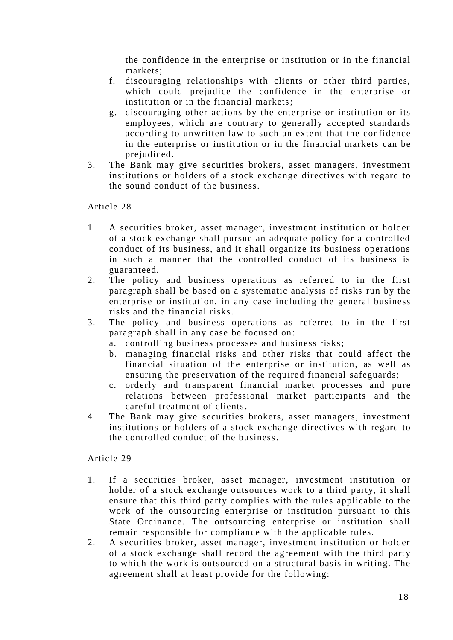the confidence in the enterprise or institution or in the financial markets;

- f. discouraging relationships with clients or other third parties, which could prejudice the confidence in the enterprise or institution or in the financial markets;
- g. discouraging other actions by the enterprise or institution or its employees, which are contrary to generally accepted standards according to unwritten law to such an extent that the confidence in the enterprise or institution or in the financial markets can be prejudiced.
- 3. The Bank may give securities brokers, asset managers, investment institutions or holders of a stock exchange directives with regard to the sound conduct of the business.

Article 28

- 1. A securities broker, asset manager, investment institution or holder of a stock exchange shall pursue an adequate policy for a controlled conduct of its business, and it shall organize its business operations in such a manner that the controlled conduct of its business is guaranteed.
- 2. The policy and business operations as referred to in the first paragraph shall be based on a systematic analysis of risks run by the enterprise or institution, in any case including the general business risks and the financial risks.
- 3. The policy and business operations as referred to in the first paragraph shall in any case be focused on:
	- a. controlling business processes and business risks;
	- b. managing financial risks and other risks that could affect the financial situation of the enterprise or institution, as well as ensuring the preservation of the required financial safeguards;
	- c. orderly and transparent financial market processes and pure relations between professional market participants and the careful treatment of clients.
- 4. The Bank may give securities brokers, asset managers, investment institutions or holders of a stock exchange directives with regard to the controlled conduct of the business.

- 1. If a securities broker, asset manager, investment institution or holder of a stock exchange outsources work to a third party, it shall ensure that this third party complies with the rules applicable to the work of the outsourcing enterprise or institution pursuant to this State Ordinance. The outsourcing enterprise or institution shall remain responsible for compliance with the applicable rules.
- 2. A securities broker, asset manager, investment institution or holder of a stock exchange shall record the agreement with the third party to which the work is outsourced on a structural basis in writing. The agreement shall at least provide for the following: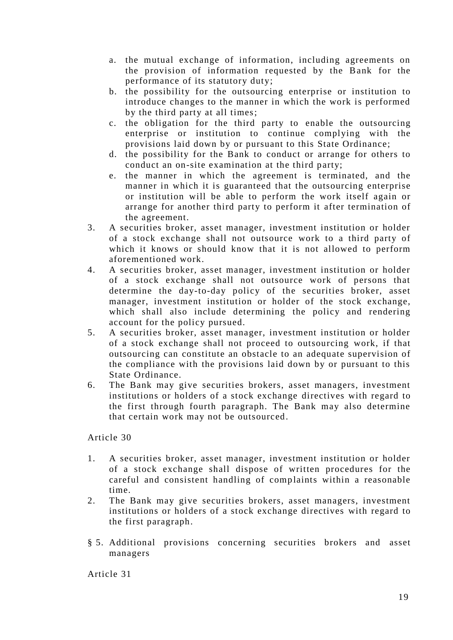- a. the mutual exchange of information, including agreements on the provision of information requested by the Bank for the performance of its statutory duty;
- b. the possibility for the outsourcing enterprise or institution to introduce changes to the manner in which the work is performed by the third party at all times;
- c. the obligation for the third party to enable the outsourcing enterprise or institution to continue complying with the provisions laid down by or pursuant to this State Ordinance;
- d. the possibility for the Bank to conduct or arrange for others to conduct an on-site examination at the third party;
- e. the manner in which the agreement is terminated, and the manner in which it is guaranteed that the outsourcing enterprise or institution will be able to perform the work itself again or arrange for another third party to perform it after termination of the agreement.
- 3. A securities broker, asset manager, investment institution or holder of a stock exchange shall not outsource work to a third party of which it knows or should know that it is not allowed to perform aforementioned work.
- 4. A securities broker, asset manager, investment institution or holder of a stock exchange shall not outsource work of persons that determine the day-to-day policy of the securities broker, asset manager, investment institution or holder of the stock exchange, which shall also include determining the policy and rendering account for the policy pursued.
- 5. A securities broker, asset manager, investment institution or holder of a stock exchange shall not proceed to outsourcing work, if that outsourcing can constitute an obstacle to an adequate supervision of the compliance with the provisions laid down by or pursuant to this State Ordinance.
- 6. The Bank may give securities brokers, asset managers, investment institutions or holders of a stock exchange directives with regard to the first through fourth paragraph. The Bank may also determine that certain work may not be outsourced.

- 1. A securities broker, asset manager, investment institution or holder of a stock exchange shall dispose of written procedures for the careful and consistent handling of complaints within a reasonable time.
- 2. The Bank may give securities brokers, asset managers, investment institutions or holders of a stock exchange directives with regard to the first paragraph.
- § 5. Additional provisions concerning securities brokers and asset managers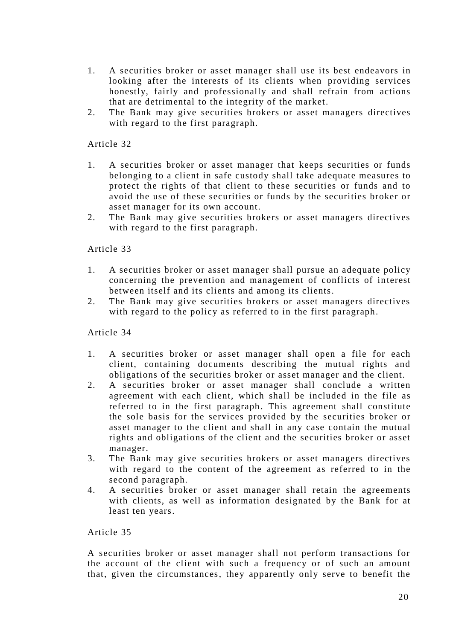- 1. A securities broker or asset manager shall use its best endeavors in looking after the interests of its clients when providing services honestly, fairly and professionally and shall refrain from actions that are detrimental to the integrity of the market.
- 2. The Bank may give securities brokers or asset managers directives with regard to the first paragraph.

- 1. A securities broker or asset manager that keeps securities or funds belonging to a client in safe custody shall take adequate measures to protect the rights of that client to these securities or funds and to avoid the use of these securities or funds by the securities broker or asset manager for its own account.
- 2. The Bank may give securities brokers or asset managers directives with regard to the first paragraph.

#### Article 33

- 1. A securities broker or asset manager shall pursue an adequate policy concerning the prevention and management of conflicts of in terest between itself and its clients and among its clients.
- 2. The Bank may give securities brokers or asset managers directives with regard to the policy as referred to in the first paragraph.

#### Article 34

- 1. A securities broker or asset manager shall open a file for each client, containing documents describing the mutual rights and obligations of the securities broker or asset manager and the client.
- 2. A securities broker or asset manager shall conclude a written agreement with each client, which shall be included in the file as referred to in the first paragraph. This agreement shall constitute the sole basis for the services provided by the securities broker or asset manager to the client and shall in any case contain the mutual rights and obligations of the client and the securities broker or asset manager.
- 3. The Bank may give securities brokers or asset managers directives with regard to the content of the agreement as referred to in the second paragraph.
- 4. A securities broker or asset manager shall retain the agreements with clients, as well as information designated by the Bank for at least ten years.

#### Article 35

A securities broker or asset manager shall not perform transactions for the account of the client with such a frequency or of such an amount that, given the circumstances, they apparently only serve to benefit the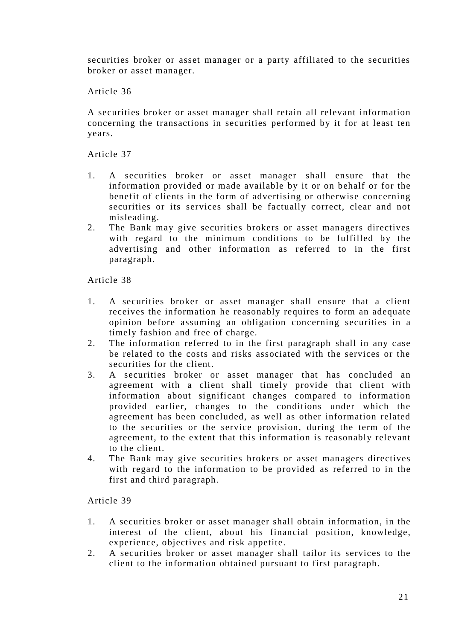securities broker or asset manager or a party affiliated to the securities broker or asset manager.

Article 36

A securities broker or asset manager shall retain all relevant information concerning the transactions in securities performed by it for at least ten years.

Article 37

- 1. A securities broker or asset manager shall ensure that the information provided or made available by it or on behalf or for the benefit of clients in the form of advertising or otherwise concerning securities or its services shall be factually correct, clear and not misleading.
- 2. The Bank may give securities brokers or asset managers directives with regard to the minimum conditions to be fulfilled by the advertising and other information as referred to in the first paragraph.

Article 38

- 1. A securities broker or asset manager shall ensure that a client receives the information he reasonably requires to form an adequate opinion before assuming an obligation concerning securities in a timely fashion and free of charge.
- 2. The information referred to in the first paragraph shall in any case be related to the costs and risks associated with the services or the securities for the client.
- 3. A securities broker or asset manager that has concluded an agreement with a client shall timely provide that client with information about significant changes compared to information provided earlier, changes to the conditions under which the agreement has been concluded, as well as other information related to the securities or the service provision, during the term of the agreement, to the extent that this information is reasonably relevant to the client.
- 4. The Bank may give securities brokers or asset man agers directives with regard to the information to be provided as referred to in the first and third paragraph.

- 1. A securities broker or asset manager shall obtain information, in the interest of the client, about his financial position, knowledge, experience, objectives and risk appetite.
- 2. A securities broker or asset manager shall tailor its services to the client to the information obtained pursuant to first paragraph.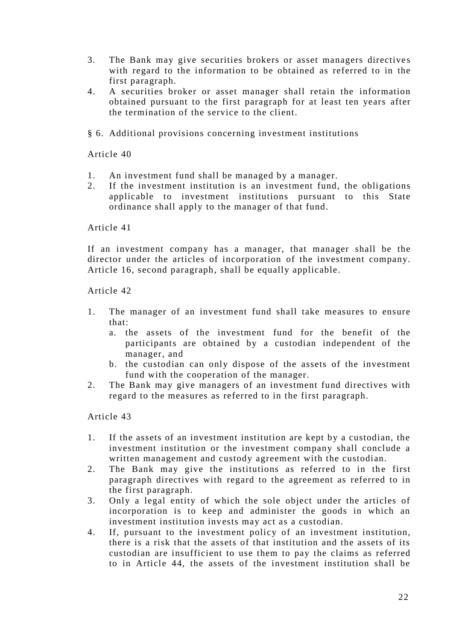- 3. The Bank may give securities brokers or asset managers directive s with regard to the information to be obtained as referred to in the first paragraph.
- 4. A securities broker or asset manager shall retain the information obtained pursuant to the first paragraph for at least ten years after the termination of the service to the client.
- § 6. Additional provisions concerning investment institutions

- 1. An investment fund shall be managed by a manager.
- 2. If the investment institution is an investment fund, the obligations applicable to investment institutions pursuant to this State ordinance shall apply to the manager of that fund.

Article 41

If an investment company has a manager, that manager shall be the director under the articles of incorporation of the investment company. Article 16, second paragraph, shall be equally applicable.

Article 42

- 1. The manager of an investment fund shall take measures to ensure that:
	- a. the assets of the investment fund for the benefit of the participants are obtained by a custodian independent of the manager, and
	- b. the custodian can only dispose of the assets of the investment fund with the cooperation of the manager.
- 2. The Bank may give managers of an investment fund directives with regard to the measures as referred to in the first paragraph.

- 1. If the assets of an investment institution are kept by a custodian, the investment institution or the investment company shall conclude a written management and custody agreement with the custodian.
- 2. The Bank may give the institutions as referred to in the first paragraph directives with regard to the agreement as referred to in the first paragraph.
- 3. Only a legal entity of which the sole object under the articles of incorporation is to keep and administer the goods in which an investment institution invests may act as a custodian.
- 4. If, pursuant to the investment policy of an investment institution, there is a risk that the assets of that institution and the assets of its custodian are insufficient to use them to pay the claims as referred to in Article 44, the assets of the investment institution shall be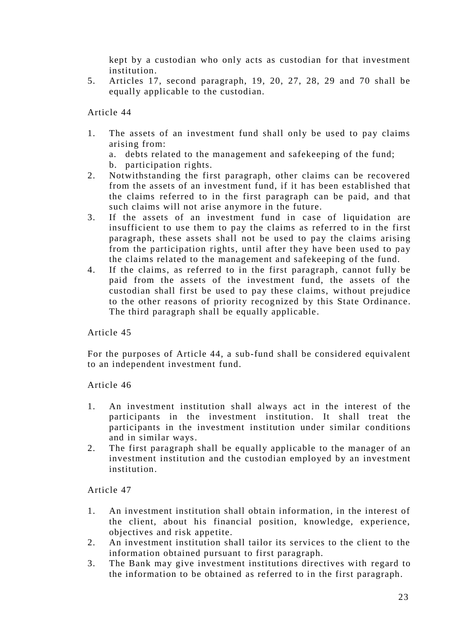kept by a custodian who only acts as custodian for that investment institution.

5. Articles 17, second paragraph, 19, 20, 27, 28, 29 and 70 shall be equally applicable to the custodian.

Article 44

1. The assets of an investment fund shall only be used to pay claims arising from:

a. debts related to the management and safekeeping of the fund;

- b. participation rights.
- 2. Notwithstanding the first paragraph, other claims can be recovered from the assets of an investment fund, if it has been established that the claims referred to in the first paragraph can be paid, and that such claims will not arise anymore in the future.
- 3. If the assets of an investment fund in case of liquidation are insufficient to use them to pay the claims as referred to in the first paragraph, these assets shall not be used to pay the claims arising from the participation rights, until after they have been used to pay the claims related to the management and safekeeping of the fund.
- 4. If the claims, as referred to in the first paragraph, cannot fully be paid from the assets of the investment fund, the assets of the custodian shall first be used to pay these claims, without prejudice to the other reasons of priority recognized by this State Ordinance. The third paragraph shall be equally applicable.

Article 45

For the purposes of Article 44, a sub-fund shall be considered equivalent to an independent investment fund.

Article 46

- 1. An investment institution shall always act in the interest of the participants in the investment institution. It shall treat the participants in the investment institution under similar conditions and in similar ways.
- 2. The first paragraph shall be equally applicable to the manager of an investment institution and the custodian employed by an investment institution.

- 1. An investment institution shall obtain information, in the interest of the client, about his financial position, knowledge, experience, objectives and risk appetite.
- 2. An investment institution shall tailor its services to the client to the information obtained pursuant to first paragraph.
- 3. The Bank may give investment institutions directives with regard to the information to be obtained as referred to in the first paragraph.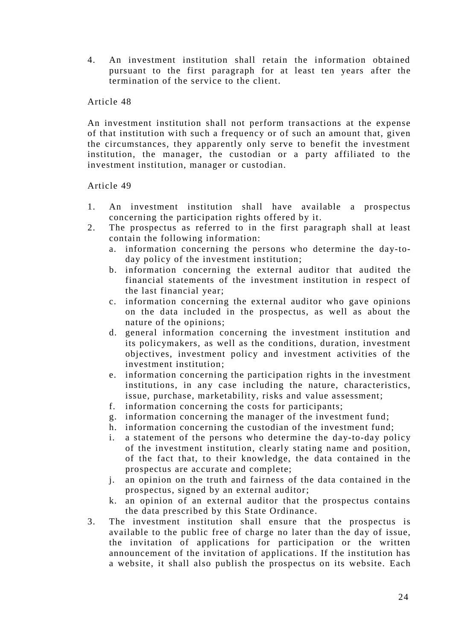4. An investment institution shall retain the information obtained pursuant to the first paragraph for at least ten years after the termination of the service to the client.

#### Article 48

An investment institution shall not perform trans actions at the expense of that institution with such a frequency or of such an amount that, given the circumstances, they apparently only serve to benefit the investment institution, the manager, the custodian or a party affiliated to the investment institution, manager or custodian.

- 1. An investment institution shall have available a prospectus concerning the participation rights offered by it.
- 2. The prospectus as referred to in the first paragraph shall at least contain the following information:
	- a. information concerning the persons who determine the day-today policy of the investment institution;
	- b. information concerning the external auditor that audited the financial statements of the investment institution in respect of the last financial year;
	- c. information concerning the external auditor who gave opinions on the data included in the prospectus, as well as about the nature of the opinions;
	- d. general information concerning the investment institution and its policymakers, as well as the conditions, duration, investment objectives, investment policy and investment activities of the investment institution;
	- e. information concerning the participation rights in the investment institutions, in any case including the nature, characteristics, issue, purchase, marketability, risks and value assessment;
	- f. information concerning the costs for participants;
	- g. information concerning the manager of the investment fund;
	- h. information concerning the custodian of the investment fund;
	- i. a statement of the persons who determine the day-to-day policy of the investment institution, clearly stating name and position, of the fact that, to their knowledge, the data contained in the prospectus are accurate and complete;
	- j. an opinion on the truth and fairness of the data contained in the prospectus, signed by an external auditor;
	- k. an opinion of an external auditor that the prospectus contains the data prescribed by this State Ordinance.
- 3. The investment institution shall ensure that the prospectus is available to the public free of charge no later than the day of issue, the invitation of applications for participation or the written announcement of the invitation of applications. If the institution has a website, it shall also publish the prospectus on its website. Each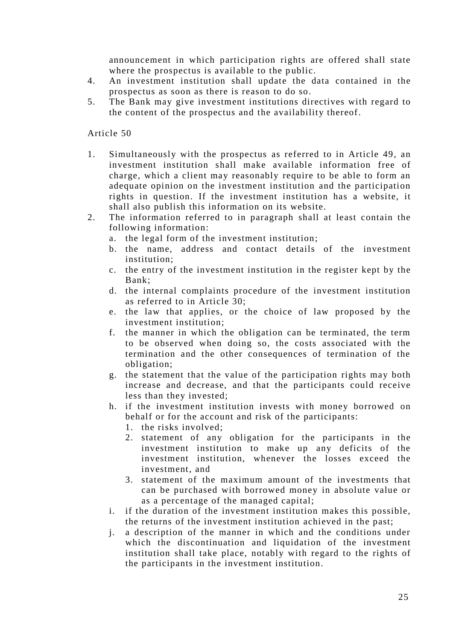announcement in which participation rights are offered shall state where the prospectus is available to the public.

- 4. An investment institution shall update the data contained in the prospectus as soon as there is reason to do so.
- 5. The Bank may give investment institutions directives with regard to the content of the prospectus and the availability thereof.

- 1. Simultaneously with the prospectus as referred to in Article 49, an investment institution shall make available information free of charge, which a client may reasonably require to be able to form an adequate opinion on the investment institution and the participation rights in question. If the investment institution has a website, it shall also publish this information on its website.
- 2. The information referred to in paragraph shall at least contain the following information:
	- a. the legal form of the investment institution;
	- b. the name, address and contact details of the investment institution;
	- c. the entry of the investment institution in the register kept by the Bank;
	- d. the internal complaints procedure of the investment institution as referred to in Article 30;
	- e. the law that applies, or the choice of law proposed by the investment institution;
	- f. the manner in which the obligation can be terminated, the term to be observed when doing so, the costs associated with the termination and the other consequences of termination of the obligation;
	- g. the statement that the value of the participation rights may both increase and decrease, and that the participants could receive less than they invested;
	- h. if the investment institution invests with money borrowed on behalf or for the account and risk of the participants:
		- 1. the risks involved;
		- 2. statement of any obligation for the participants in the investment institution to make up any deficits of the investment institution, whenever the losses exceed the investment, and
		- 3. statement of the maximum amount of the investments that can be purchased with borrowed money in absolute value or as a percentage of the managed capital;
	- i. if the duration of the investment institution makes this possible, the returns of the investment institution achieved in the past;
	- j. a description of the manner in which and the conditions under which the discontinuation and liquidation of the investment institution shall take place, notably with regard to the rights of the participants in the investment institution.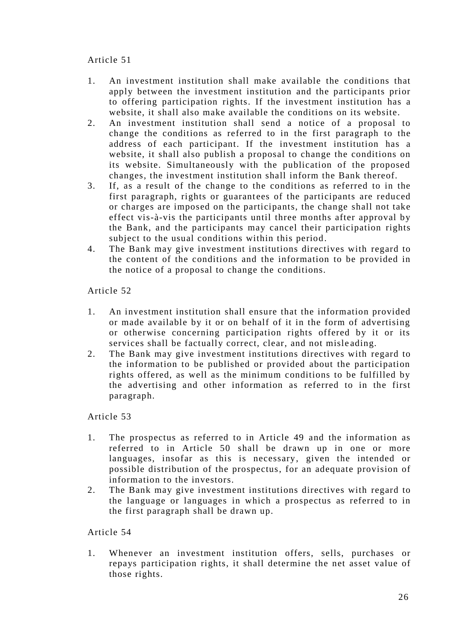- 1. An investment institution shall make available the conditions that apply between the investment institution and the participants prior to offering participation rights. If the investment institution has a website, it shall also make available the conditions on its website.
- 2. An investment institution shall send a notice of a proposal to change the conditions as referred to in the first paragraph to the address of each participant. If the investment institution has a website, it shall also publish a proposal to change the conditions on its website. Simultaneously with the publication of the proposed changes, the investment institution shall inform the Bank thereof.
- 3. If, as a result of the change to the conditions as referred to in the first paragraph, rights or guarantees of the participants are reduced or charges are imposed on the participants, the change shall not take effect vis-à-vis the participants until three months after approval by the Bank, and the participants may cancel their participation rights subject to the usual conditions within this period.
- 4. The Bank may give investment institutions directives with regard to the content of the conditions and the information to be provided in the notice of a proposal to change the conditions.

Article 52

- 1. An investment institution shall ensure that the information provided or made available by it or on behalf of it in the form of advertising or otherwise concerning participation rights offered by it or its services shall be factually correct, clear, and not misle ading.
- 2. The Bank may give investment institutions directives with regard to the information to be published or provided about the participation rights offered, as well as the minimum conditions to be fulfilled by the advertising and other information as referred to in the first paragraph.

Article 53

- 1. The prospectus as referred to in Article 49 and the information as referred to in Article 50 shall be drawn up in one or more languages, insofar as this is necessary, given the intended or possible distribution of the prospectus, for an adequate provision of information to the investors.
- 2. The Bank may give investment institutions directives with regard to the language or languages in which a prospectus as referred to in the first paragraph shall be drawn up.

Article 54

1. Whenever an investment institution offers, sells, purchases or repays participation rights, it shall determine the net asset value of those rights.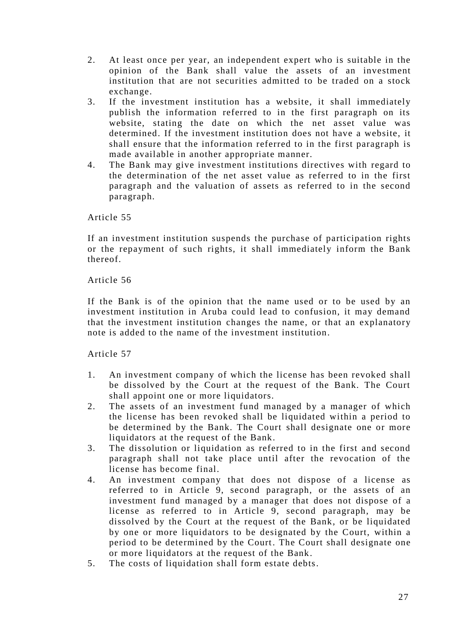- 2. At least once per year, an independent expert who is suitable in the opinion of the Bank shall value the assets of an investment institution that are not securities admitted to be traded on a stock exchange.
- 3. If the investment institution has a website, it shall immediately publish the information referred to in the first paragraph on its website, stating the date on which the net asset value was determined. If the investment institution does not have a website, it shall ensure that the information referred to in the first paragraph is made available in another appropriate manner.
- 4. The Bank may give investment institutions directives with regard to the determination of the net asset value as referred to in the first paragraph and the valuation of assets as referred to in the second paragraph.

If an investment institution suspends the purchase of participation rights or the repayment of such rights, it shall immediately inform the Bank thereof.

Article 56

If the Bank is of the opinion that the name used or to be used by an investment institution in Aruba could lead to confusion, it may demand that the investment institution changes the name, or that an explanatory note is added to the name of the investment institution.

- 1. An investment company of which the license has been revoked shall be dissolved by the Court at the request of the Bank. The Court shall appoint one or more liquidators.
- 2. The assets of an investment fund managed by a manager of which the license has been revoked shall be liquidated within a period to be determined by the Bank. The Court shall designate one or more liquidators at the request of the Bank.
- 3. The dissolution or liquidation as referred to in the first and second paragraph shall not take place until after the revocation of the license has become final.
- 4. An investment company that does not dispose of a license as referred to in Article 9, second paragraph, or the assets of an investment fund managed by a manager that does not dispose of a license as referred to in Article 9, second paragraph, may be dissolved by the Court at the request of the Bank, or be liquidated by one or more liquidators to be designated by the Court, within a period to be determined by the Court. The Court shall designate one or more liquidators at the request of the Bank.
- 5. The costs of liquidation shall form estate debts.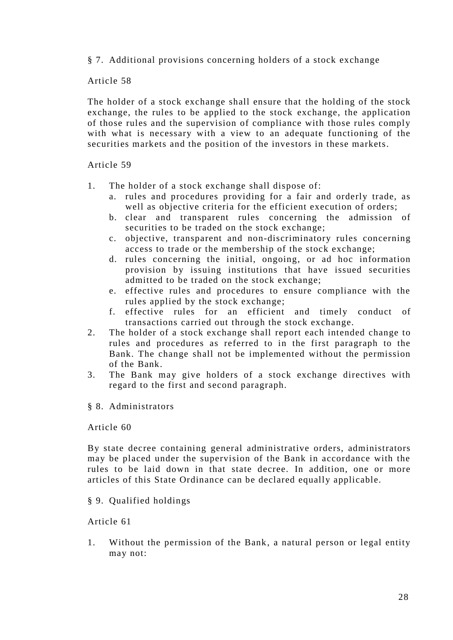§ 7. Additional provisions concerning holders of a stock exchange

## Article 58

The holder of a stock exchange shall ensure that the holding of the stock exchange, the rules to be applied to the stock exchange, the application of those rules and the supervision of compliance with those rules comply with what is necessary with a view to an adequate functioning of the securities markets and the position of the investors in these markets.

## Article 59

- 1. The holder of a stock exchange shall dispose of:
	- a. rules and procedures providing for a fair and orderly trade, as well as objective criteria for the efficient execution of orders;
	- b. clear and transparent rules concerning the admission of securities to be traded on the stock exchange;
	- c. objective, transparent and non-discriminatory rules concerning access to trade or the membership of the stock exchange;
	- d. rules concerning the initial, ongoing, or ad hoc information provision by issuing institutions that have issued securities admitted to be traded on the stock exchange;
	- e. effective rules and procedures to ensure compliance with the rules applied by the stock exchange;
	- f. effective rules for an efficient and timely conduct of transactions carried out through the stock exchange.
- 2. The holder of a stock exchange shall report each intended change to rules and procedures as referred to in the first paragraph to the Bank. The change shall not be implemented without the permission of the Bank.
- 3. The Bank may give holders of a stock exchange directives with regard to the first and second paragraph.

# § 8. Administrators

#### Article 60

By state decree containing general administrative orders, administrators may be placed under the supervision of the Bank in accordance with the rules to be laid down in that state decree. In addition, one or more articles of this State Ordinance can be declared equally applicable.

# § 9. Qualified holdings

## Article 61

1. Without the permission of the Bank, a natural person or legal entity may not: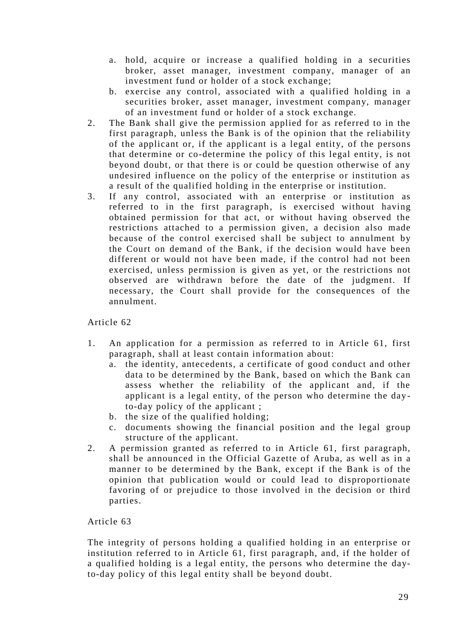- a. hold, acquire or increase a qualified holding in a securities broker, asset manager, investment company, manager of an investment fund or holder of a stock exchange;
- b. exercise any control, associated with a qualified holding in a securities broker, asset manager, investment company, manager of an investment fund or holder of a stock exchange.
- 2. The Bank shall give the permission applied for as referred to in the first paragraph, unless the Bank is of the opinion that the reliability of the applicant or, if the applicant is a legal entity, of the persons that determine or co-determine the policy of this legal entity, is not beyond doubt, or that there is or could be question otherwise of any undesired influence on the policy of the enterprise or institution as a result of the qualified holding in the enterprise or institution.
- 3. If any control, associated with an enterprise or institution as referred to in the first paragraph, is exercised without having obtained permission for that act, or without having observed the restrictions attached to a permission given, a decision also made because of the control exercised shall be subject to annulment by the Court on demand of the Bank, if the decision would have been different or would not have been made, if the control had not been exercised, unless permission is given as yet, or the restrictions not observed are withdrawn before the date of the judgment. If necessary, the Court shall provide for the consequences of the annulment.

- 1. An application for a permission as referred to in Article 61, first paragraph, shall at least contain information about:
	- a. the identity, antecedents, a certificate of good conduct and other data to be determined by the Bank, based on which the Bank can assess whether the reliability of the applicant and, if the applicant is a legal entity, of the person who determine the day to-day policy of the applicant ;
	- b. the size of the qualified holding;
	- c. documents showing the financial position and the legal group structure of the applicant.
- 2. A permission granted as referred to in Article 61, first paragraph, shall be announced in the Official Gazette of Aruba, as well as in a manner to be determined by the Bank, except if the Bank is of the opinion that publication would or could lead to disproportionate favoring of or prejudice to those involved in the decision or third parties.

# Article 63

The integrity of persons holding a qualified holding in an enterprise or institution referred to in Article 61, first paragraph, and, if the holder of a qualified holding is a legal entity, the persons who determine the dayto-day policy of this legal entity shall be beyond doubt.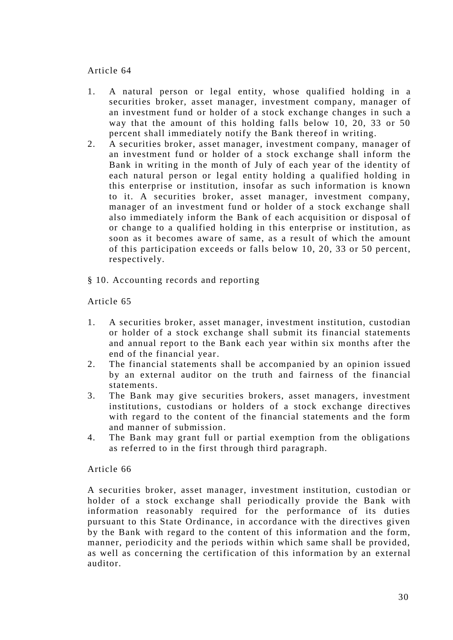- 1. A natural person or legal entity, whose qualified holding in a securities broker, asset manager, investment company, manager of an investment fund or holder of a stock exchange changes in such a way that the amount of this holding falls below 10, 20, 33 or 50 percent shall immediately notify the Bank thereof in writing.
- 2. A securities broker, asset manager, investment company, manager of an investment fund or holder of a stock exchange shall inform the Bank in writing in the month of July of each year of the identity of each natural person or legal entity holding a qualified holding in this enterprise or institution, insofar as such information is known to it. A securities broker, asset manager, investment company, manager of an investment fund or holder of a stock exchange shall also immediately inform the Bank of each acquisition or disposal of or change to a qualified holding in this enterprise or institution, as soon as it becomes aware of same, as a result of which the amount of this participation exceeds or falls below 10, 20, 33 or 50 percent, respectively.
- § 10. Accounting records and reporting

## Article 65

- 1. A securities broker, asset manager, investment institution, custodian or holder of a stock exchange shall submit its financial statements and annual report to the Bank each year within six months after the end of the financial year.
- 2. The financial statements shall be accompanied by an opinion issued by an external auditor on the truth and fairness of the financial statements.
- 3. The Bank may give securities brokers, asset managers, investment institutions, custodians or holders of a stock exchange directives with regard to the content of the financial statements and the form and manner of submission.
- 4. The Bank may grant full or partial exemption from the obligations as referred to in the first through third paragraph.

#### Article 66

A securities broker, asset manager, investment institution, custodian or holder of a stock exchange shall periodically provide the Bank with information reasonably required for the performance of its duties pursuant to this State Ordinance, in accordance with the directives given by the Bank with regard to the content of this information and the form, manner, periodicity and the periods within which same shall be provided, as well as concerning the certification of this information by an external auditor.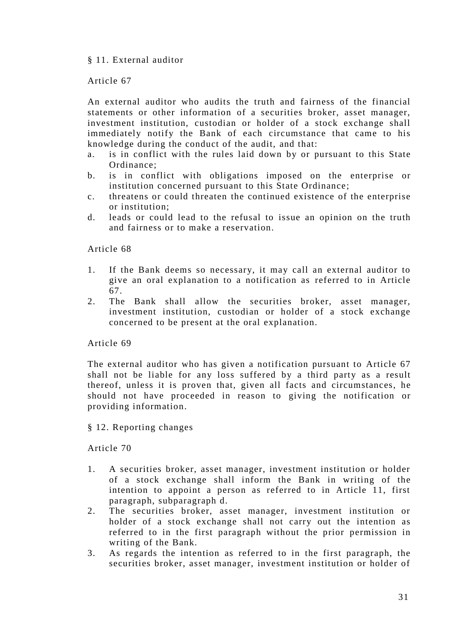## § 11. External auditor

## Article 67

An external auditor who audits the truth and fairness of the financial statements or other information of a securities broker, asset manager, investment institution, custodian or holder of a stock exchange shall immediately notify the Bank of each circumstance that came to his knowledge during the conduct of the audit, and that:

- a. is in conflict with the rules laid down by or pursuant to this State Ordinance;
- b. is in conflict with obligations imposed on the enterprise or institution concerned pursuant to this State Ordinance;
- c. threatens or could threaten the continued existence of the enterprise or institution;
- d. leads or could lead to the refusal to issue an opinion on the truth and fairness or to make a reservation.

#### Article 68

- 1. If the Bank deems so necessary, it may call an external auditor to give an oral explanation to a notification as referred to in Article 67.
- 2. The Bank shall allow the securities broker, asset manager, investment institution, custodian or holder of a stock exchange concerned to be present at the oral explanation.

## Article 69

The external auditor who has given a notification pursuant to Article 67 shall not be liable for any loss suffered by a third party as a result thereof, unless it is proven that, given all facts and circumstances, he should not have proceeded in reason to giving the notification or providing information.

§ 12. Reporting changes

- 1. A securities broker, asset manager, investment institution or holder of a stock exchange shall inform the Bank in writing of the intention to appoint a person as referred to in Article 11, first paragraph, subparagraph d.
- 2. The securities broker, asset manager, investment institution or holder of a stock exchange shall not carry out the intention as referred to in the first paragraph without the prior permission in writing of the Bank.
- 3. As regards the intention as referred to in the first paragraph, the securities broker, asset manager, investment institution or holder of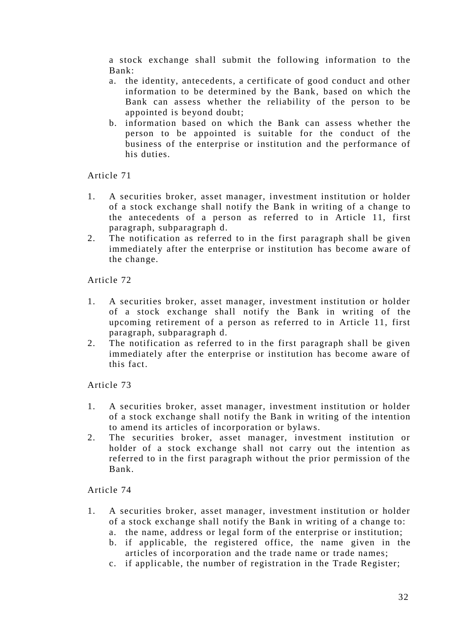a stock exchange shall submit the following information to the Bank:

- a. the identity, antecedents, a certificate of good conduct and other information to be determined by the Bank, based on which the Bank can assess whether the reliability of the person to be appointed is beyond doubt;
- b. information based on which the Bank can assess whether the person to be appointed is suitable for the conduct of the business of the enterprise or institution and the performance of his duties.

Article 71

- 1. A securities broker, asset manager, investment institution or holder of a stock exchange shall notify the Bank in writing of a change to the antecedents of a person as referred to in Article 11, first paragraph, subparagraph d.
- 2. The notification as referred to in the first paragraph shall be given immediately after the enterprise or institution has become aware of the change.

Article 72

- 1. A securities broker, asset manager, investment institution or holder of a stock exchange shall notify the Bank in writing of the upcoming retirement of a person as referred to in Article 11, first paragraph, subparagraph d.
- 2. The notification as referred to in the first paragraph shall be given immediately after the enterprise or institution has become aware of this fact.

Article 73

- 1. A securities broker, asset manager, investment institution or holder of a stock exchange shall notify the Bank in writing of the intention to amend its articles of incorporation or bylaws.
- 2. The securities broker, asset manager, investment institution or holder of a stock exchange shall not carry out the intention as referred to in the first paragraph without the prior permission of the Bank.

- 1. A securities broker, asset manager, investment institution or holder of a stock exchange shall notify the Bank in writing of a change to:
	- a. the name, address or legal form of the enterprise or institution;
	- b. if applicable, the registered office, the name given in the articles of incorporation and the trade name or trade names;
	- c. if applicable, the number of registration in the Trade Register;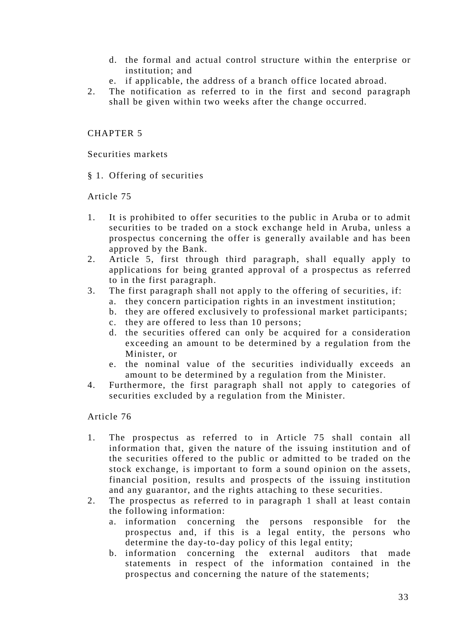- d. the formal and actual control structure within the enterprise or institution; and
- e. if applicable, the address of a branch office located abroad.
- 2. The notification as referred to in the first and second paragraph shall be given within two weeks after the change occurred.

# CHAPTER 5

Securities markets

§ 1. Offering of securities

Article 75

- 1. It is prohibited to offer securities to the public in Aruba or to admit securities to be traded on a stock exchange held in Aruba, unless a prospectus concerning the offer is generally available and has been approved by the Bank.
- 2. Article 5, first through third paragraph, shall equally apply to applications for being granted approval of a prospectus as referred to in the first paragraph.
- 3. The first paragraph shall not apply to the offering of securities, if:
	- a. they concern participation rights in an investment institution;
		- b. they are offered exclusively to professional market participants;
		- c. they are offered to less than 10 persons;
		- d. the securities offered can only be acquired for a consideration exceeding an amount to be determined by a regulation from the Minister, or
		- e. the nominal value of the securities individually exceeds an amount to be determined by a regulation from the Minister.
- 4. Furthermore, the first paragraph shall not apply to categories of securities excluded by a regulation from the Minister.

- 1. The prospectus as referred to in Article 75 shall contain all information that, given the nature of the issuing institution and of the securities offered to the public or admitted to be traded on the stock exchange, is important to form a sound opinion on the assets, financial position, results and prospects of the issuing institution and any guarantor, and the rights attaching to these securities.
- 2. The prospectus as referred to in paragraph 1 shall at least contain the following information:
	- a. information concerning the persons responsible for the prospectus and, if this is a legal entity, the persons who determine the day-to-day policy of this legal entity;
	- b. information concerning the external auditors that made statements in respect of the information contained in the prospectus and concerning the nature of the statements;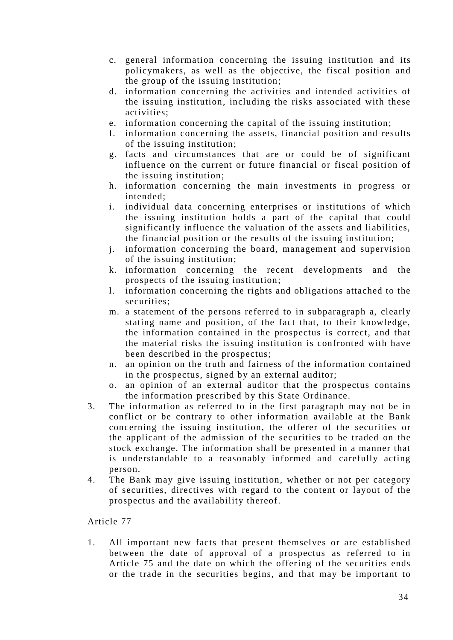- c. general information concerning the issuing institution and its policymakers, as well as the objective, the fiscal position and the group of the issuing institution;
- d. information concerning the activities and intended activities of the issuing institution, including the risks associated with these activities;
- e. information concerning the capital of the issuing institution;
- f. information concerning the assets, financial position and results of the issuing institution;
- g. facts and circumstances that are or could be of significant influence on the current or future financial or fiscal position of the issuing institution;
- h. information concerning the main investments in progress or intended;
- i. individual data concerning enterprises or institutions of which the issuing institution holds a part of the capital that could significantly influence the valuation of the assets and liabilities, the financial position or the results of the issuing institution;
- j. information concerning the board, management and supervision of the issuing institution;
- k. information concerning the recent developments and the prospects of the issuing institution;
- l. information concerning the rights and obligations attached to the securities;
- m. a statement of the persons referred to in subparagraph a, clearly stating name and position, of the fact that, to their knowledge, the information contained in the prospectus is correct, and that the material risks the issuing institution is confronted with have been described in the prospectus;
- n. an opinion on the truth and fairness of the information contained in the prospectus, signed by an external auditor;
- o. an opinion of an external auditor that the prospectus contains the information prescribed by this State Ordinance.
- 3. The information as referred to in the first paragraph may not be in conflict or be contrary to other information available at the Bank concerning the issuing institution, the offerer of the securities or the applicant of the admission of the securities to be traded on the stock exchange. The information shall be presented in a manner that is understandable to a reasonably informed and carefully acting person.
- 4. The Bank may give issuing institution, whether or not per category of securities, directives with regard to the content or layout of the prospectus and the availability thereof.

1. All important new facts that present themselves or are established between the date of approval of a prospectus as referred to in Article 75 and the date on which the offering of the securities ends or the trade in the securities begins, and that may be important to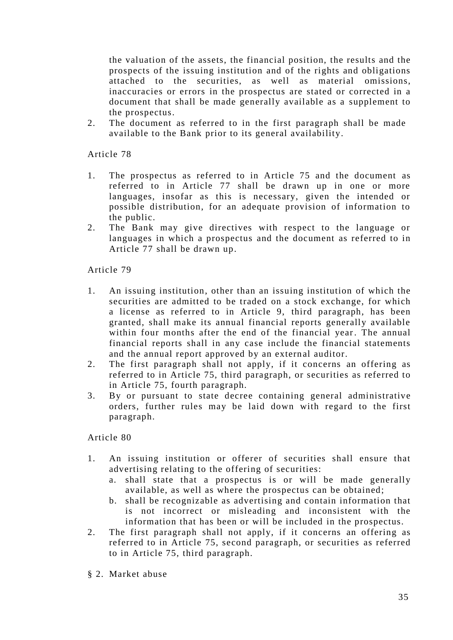the valuation of the assets, the financial position, the results and the prospects of the issuing institution and of the rights and obligations attached to the securities, as well as material omissions, inaccuracies or errors in the prospectus are stated or corrected in a document that shall be made generally available as a supplement to the prospectus.

2. The document as referred to in the first paragraph shall be made available to the Bank prior to its general availability.

Article 78

- 1. The prospectus as referred to in Article 75 and the document as referred to in Article 77 shall be drawn up in one or more languages, insofar as this is necessary, given the intended or possible distribution, for an adequate provision of information to the public.
- 2. The Bank may give directives with respect to the language or languages in which a prospectus and the document as referred to in Article 77 shall be drawn up.

Article 79

- 1. An issuing institution, other than an issuing institution of which the securities are admitted to be traded on a stock exchange, for which a license as referred to in Article 9, third paragraph, has been granted, shall make its annual financial reports generally available within four months after the end of the financial year. The annual financial reports shall in any case include the financial statements and the annual report approved by an external auditor.
- 2. The first paragraph shall not apply, if it concerns an offering as referred to in Article 75, third paragraph, or securities as referred to in Article 75, fourth paragraph.
- 3. By or pursuant to state decree containing general administrative orders, further rules may be laid down with regard to the first paragraph.

- 1. An issuing institution or offerer of securities shall ensure that advertising relating to the offering of securities:
	- a. shall state that a prospectus is or will be made generally available, as well as where the prospectus can be obtained;
	- b. shall be recognizable as advertising and contain information that is not incorrect or misleading and inconsistent with the information that has been or will be included in the prospectus.
- 2. The first paragraph shall not apply, if it concerns an offering as referred to in Article 75, second paragraph, or securities as referred to in Article 75, third paragraph.
- § 2. Market abuse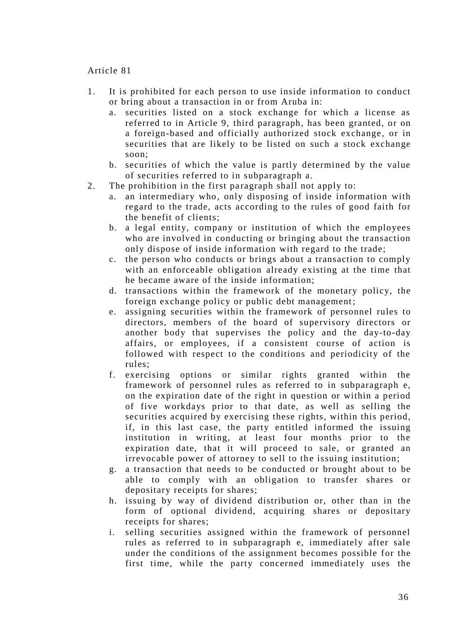- 1. It is prohibited for each person to use inside information to conduct or bring about a transaction in or from Aruba in:
	- a. securities listed on a stock exchange for which a license as referred to in Article 9, third paragraph, has been granted, or on a foreign-based and officially authorized stock exchange, or in securities that are likely to be listed on such a stock exchange soon;
	- b. securities of which the value is partly determined by the value of securities referred to in subparagraph a.
- 2. The prohibition in the first paragraph shall not apply to:
	- a. an intermediary who, only disposing of inside information with regard to the trade, acts according to the rules of good faith for the benefit of clients;
	- b. a legal entity, company or institution of which the employees who are involved in conducting or bringing about the transaction only dispose of inside information with regard to the trade;
	- c. the person who conducts or brings about a transaction to comply with an enforceable obligation already existing at the time that he became aware of the inside information;
	- d. transactions within the framework of the monetary policy, the foreign exchange policy or public debt management;
	- e. assigning securities within the framework of personnel rules to directors, members of the board of supervisory directors or another body that supervises the policy and the day-to-day affairs, or employees, if a consistent course of action is followed with respect to the conditions and periodicity of the rules;
	- f. exercising options or similar rights granted within the framework of personnel rules as referred to in subparagraph e, on the expiration date of the right in question or within a period of five workdays prior to that date, as well as selling the securities acquired by exercising these rights, within this period, if, in this last case, the party entitled informed the issuing institution in writing, at least four months prior to the expiration date, that it will proceed to sale, or granted an irrevocable power of attorney to sell to the issuing institution;
	- g. a transaction that needs to be conducted or brought about to be able to comply with an obligation to transfer shares or depositary receipts for shares;
	- h. issuing by way of dividend distribution or, other than in the form of optional dividend, acquiring shares or depositary receipts for shares;
	- i. selling securities assigned within the framework of personnel rules as referred to in subparagraph e, immediately after sale under the conditions of the assignment becomes possible for the first time, while the party concerned immediately uses the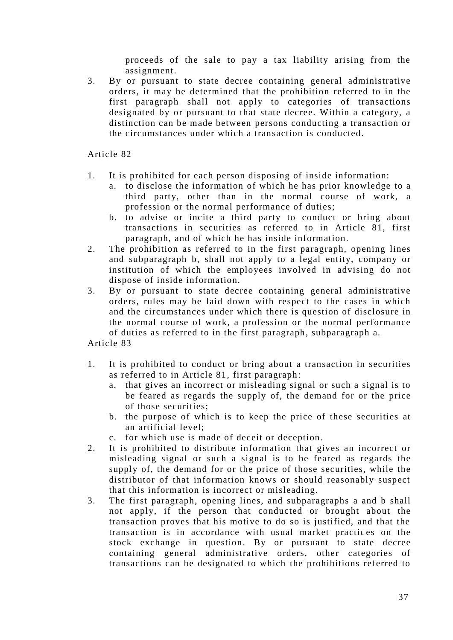proceeds of the sale to pay a tax liability arising from the assignment.

3. By or pursuant to state decree containing general administrative orders, it may be determined that the prohibition referred to in the first paragraph shall not apply to categories of transactions designated by or pursuant to that state decree. Within a category, a distinction can be made between persons conducting a transaction or the circumstances under which a transaction is conducted.

Article 82

- 1. It is prohibited for each person disposing of inside information:
	- a. to disclose the information of which he has prior knowledge to a third party, other than in the normal course of work, a profession or the normal performance of duties;
	- b. to advise or incite a third party to conduct or bring about transactions in securities as referred to in Article 81, first paragraph, and of which he has inside information.
- 2. The prohibition as referred to in the first paragraph, opening lines and subparagraph b, shall not apply to a legal entity, company or institution of which the employees involved in advising do not dispose of inside information.
- 3. By or pursuant to state decree containing general administrative orders, rules may be laid down with respect to the cases in which and the circumstances under which there is question of disclosure in the normal course of work, a profession or the normal performance of duties as referred to in the first paragraph, subparagraph a.

- 1. It is prohibited to conduct or bring about a transaction in securities as referred to in Article 81, first paragraph:
	- a. that gives an incorrect or misleading signal or such a signal is to be feared as regards the supply of, the demand for or the price of those securities;
	- b. the purpose of which is to keep the price of these securities at an artificial level;
	- c. for which use is made of deceit or deception.
- 2. It is prohibited to distribute information that gives an incorrect or misleading signal or such a signal is to be feared as regards the supply of, the demand for or the price of those securities, while the distributor of that information knows or should reasonably suspect that this information is incorrect or misleading.
- 3. The first paragraph, opening lines, and subparagraphs a and b shall not apply, if the person that conducted or brought about the transaction proves that his motive to do so is justified, and that the transaction is in accordance with usual market practices on the stock exchange in question. By or pursuant to state decree containing general administrative orders, other categories of transactions can be designated to which the prohibitions referred to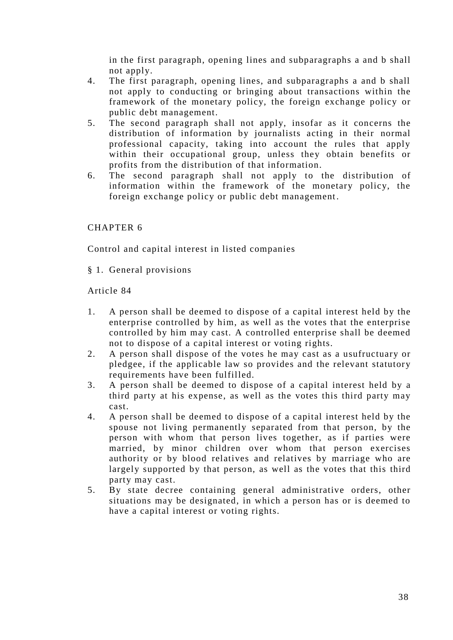in the first paragraph, opening lines and subparagraphs a and b shall not apply.

- 4. The first paragraph, opening lines, and subparagraphs a and b shall not apply to conducting or bringing about transactions within the framework of the monetary policy, the foreign exchange policy or public debt management.
- 5. The second paragraph shall not apply, insofar as it concerns the distribution of information by journalists acting in their normal professional capacity, taking into account the rules that apply within their occupational group, unless they obtain benefits or profits from the distribution of that information.
- 6. The second paragraph shall not apply to the distribution of information within the framework of the monetary policy, the foreign exchange policy or public debt management.

# CHAPTER 6

Control and capital interest in listed companies

§ 1. General provisions

- 1. A person shall be deemed to dispose of a capital interest held by the enterprise controlled by him, as well as the votes that the enterprise controlled by him may cast. A controlled enterprise shall be deemed not to dispose of a capital interest or voting rights.
- 2. A person shall dispose of the votes he may cast as a usufructuary or pledgee, if the applicable law so provides and the relevant statutory requirements have been fulfilled.
- 3. A person shall be deemed to dispose of a capital interest held by a third party at his expense, as well as the votes this third party may cast.
- 4. A person shall be deemed to dispose of a capital interest held by the spouse not living permanently separated from that person, by the person with whom that person lives together, as if parties were married, by minor children over whom that person exercises authority or by blood relatives and relatives by marriage who are largely supported by that person, as well as the votes that this third party may cast.
- 5. By state decree containing general administrative orders, other situations may be designated, in which a person has or is deemed to have a capital interest or voting rights.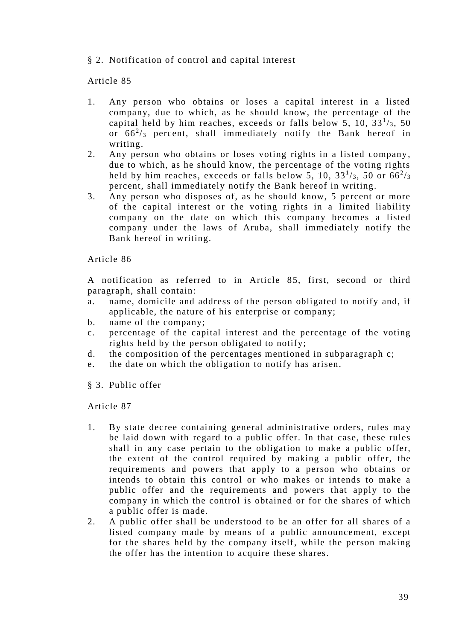# § 2. Notification of control and capital interest

#### Article 85

- 1. Any person who obtains or loses a capital interest in a listed company, due to which, as he should know, the percentage of the capital held by him reaches, exceeds or falls below 5, 10,  $33<sup>1</sup>/3$ , 50 or  $66^2$ /3 percent, shall immediately notify the Bank hereof in writing.
- 2. Any person who obtains or loses voting rights in a listed company , due to which, as he should know, the percentage of the voting rights held by him reaches, exceeds or falls below 5, 10, 33 $\frac{1}{3}$ , 50 or 66 $\frac{2}{3}$ percent, shall immediately notify the Bank hereof in writing.
- 3. Any person who disposes of, as he should know, 5 percent or more of the capital interest or the voting rights in a limited liability company on the date on which this company becomes a listed company under the laws of Aruba, shall immediately notify the Bank hereof in writing.

Article 86

A notification as referred to in Article 85, first, second or third paragraph, shall contain:

- a. name, domicile and address of the person obligated to notify and, if applicable, the nature of his enterprise or company;
- b. name of the company;
- c. percentage of the capital interest and the percentage of the voting rights held by the person obligated to notify;
- d. the composition of the percentages mentioned in subparagraph c;
- e. the date on which the obligation to notify has arisen.
- § 3. Public offer

- 1. By state decree containing general administrative orders, rules may be laid down with regard to a public offer. In that case, these rules shall in any case pertain to the obligation to make a public offer, the extent of the control required by making a public offer, the requirements and powers that apply to a person who obtains or intends to obtain this control or who makes or intends to make a public offer and the requirements and powers that apply to the company in which the control is obtained or for the shares of which a public offer is made.
- 2. A public offer shall be understood to be an offer for all shares of a listed company made by means of a public announcement, except for the shares held by the company itself, while the person making the offer has the intention to acquire these shares.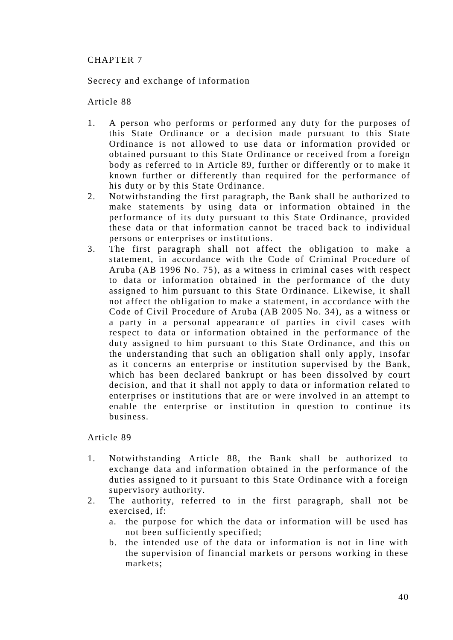# CHAPTER 7

Secrecy and exchange of information

# Article 88

- 1. A person who performs or performed any duty for the purposes of this State Ordinance or a decision made pursuant to this State Ordinance is not allowed to use data or information provided or obtained pursuant to this State Ordinance or received from a foreign body as referred to in Article 89, further or differently or to make it known further or differently than required for the performance of his duty or by this State Ordinance.
- 2. Notwithstanding the first paragraph, the Bank shall be authorized to make statements by using data or information obtained in the performance of its duty pursuant to this State Ordinance, provided these data or that information cannot be traced back to individual persons or enterprises or institutions.
- 3. The first paragraph shall not affect the obligation to make a statement, in accordance with the Code of Criminal Procedure of Aruba (AB 1996 No. 75), as a witness in criminal cases with respect to data or information obtained in the performance of the duty assigned to him pursuant to this State Ordinance. Likewise, it shall not affect the obligation to make a statement, in accordance with the Code of Civil Procedure of Aruba (AB 2005 No. 34), as a witness or a party in a personal appearance of parties in civil cases with respect to data or information obtained in the performance of the duty assigned to him pursuant to this State Ordinance, and this on the understanding that such an obligation shall only apply, insofar as it concerns an enterprise or institution supervised by the Bank, which has been declared bankrupt or has been dissolved by court decision, and that it shall not apply to data or information related to enterprises or institutions that are or were involved in an attempt to enable the enterprise or institution in question to continue its business.

- 1. Notwithstanding Article 88, the Bank shall be authorized to exchange data and information obtained in the performance of the duties assigned to it pursuant to this State Ordinance with a foreign supervisory authority.
- 2. The authority, referred to in the first paragraph, shall not be exercised, if:
	- a. the purpose for which the data or information will be used has not been sufficiently specified;
	- b. the intended use of the data or information is not in line with the supervision of financial markets or persons working in these markets;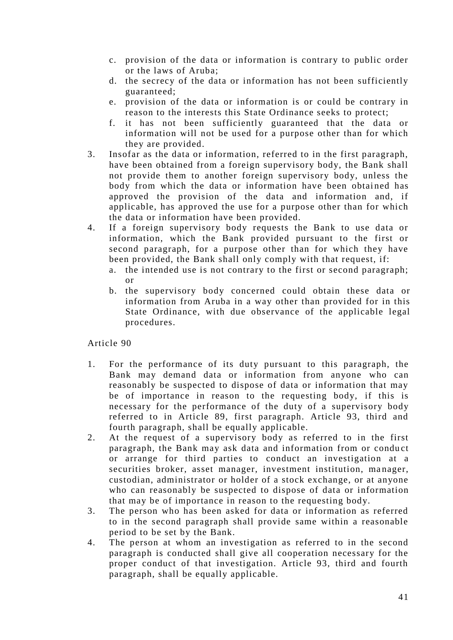- c. provision of the data or information is contrary to public order or the laws of Aruba;
- d. the secrecy of the data or information has not been sufficiently guaranteed;
- e. provision of the data or information is or could be contrary in reason to the interests this State Ordinance seeks to protect;
- f. it has not been sufficiently guaranteed that the data or information will not be used for a purpose other than for which they are provided.
- 3. Insofar as the data or information, referred to in the first paragraph, have been obtained from a foreign supervisory body, the Bank shall not provide them to another foreign supervisory body, unless the body from which the data or information have been obtained has approved the provision of the data and information and, if applicable, has approved the use for a purpose other than for which the data or information have been provided.
- 4. If a foreign supervisory body requests the Bank to use data or information, which the Bank provided pursuant to the first or second paragraph, for a purpose other than for which they have been provided, the Bank shall only comply with that request, if:
	- a. the intended use is not contrary to the first or second paragraph; or
	- b. the supervisory body concerned could obtain these data or information from Aruba in a way other than provided for in this State Ordinance, with due observance of the applicable legal procedures.

- 1. For the performance of its duty pursuant to this paragraph, the Bank may demand data or information from anyone who can reasonably be suspected to dispose of data or information that may be of importance in reason to the requesting body, if this is necessary for the performance of the duty of a supervisory body referred to in Article 89, first paragraph. Article 93, third and fourth paragraph, shall be equally applicable.
- 2. At the request of a supervisory body as referred to in the first paragraph, the Bank may ask data and information from or condu ct or arrange for third parties to conduct an investigation at a securities broker, asset manager, investment institution, manager, custodian, administrator or holder of a stock exchange, or at anyone who can reasonably be suspected to dispose of data or information that may be of importance in reason to the requesting body.
- 3. The person who has been asked for data or information as referred to in the second paragraph shall provide same within a reasonable period to be set by the Bank.
- 4. The person at whom an investigation as referred to in the second paragraph is conducted shall give all cooperation necessary for the proper conduct of that investigation. Article 93, third and fourth paragraph, shall be equally applicable.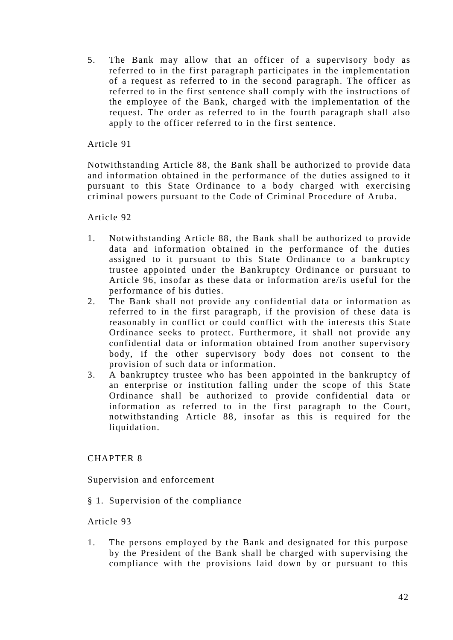5. The Bank may allow that an officer of a supervisory body as referred to in the first paragraph participates in the implementation of a request as referred to in the second paragraph. The officer as referred to in the first sentence shall comply with the instructions of the employee of the Bank, charged with the implementation of the request. The order as referred to in the fourth paragraph shall also apply to the officer referred to in the first sentence.

# Article 91

Notwithstanding Article 88, the Bank shall be authorized to provide data and information obtained in the performance of the duties assigned to it pursuant to this State Ordinance to a body charged with exercising criminal powers pursuant to the Code of Criminal Procedure of Aruba.

Article 92

- 1. Notwithstanding Article 88, the Bank shall be authorized to provide data and information obtained in the performance of the duties assigned to it pursuant to this State Ordinance to a bankruptcy trustee appointed under the Bankruptcy Ordinance or pursuant to Article 96, insofar as these data or information are/is useful for the performance of his duties.
- 2. The Bank shall not provide any confidential data or information as referred to in the first paragraph, if the provision of these data is reasonably in conflict or could conflict with the interests this State Ordinance seeks to protect. Furthermore, it shall not provide any confidential data or information obtained from another supervisory body, if the other supervisory body does not consent to the provision of such data or information.
- 3. A bankruptcy trustee who has been appointed in the bankruptcy of an enterprise or institution falling under the scope of this State Ordinance shall be authorized to provide confidential data or information as referred to in the first paragraph to the Court, notwithstanding Article 88, insofar as this is required for the liquidation.

# CHAPTER 8

Supervision and enforcement

§ 1. Supervision of the compliance

# Article 93

1. The persons employed by the Bank and designated for this purpose by the President of the Bank shall be charged with supervising the compliance with the provisions laid down by or pursuant to this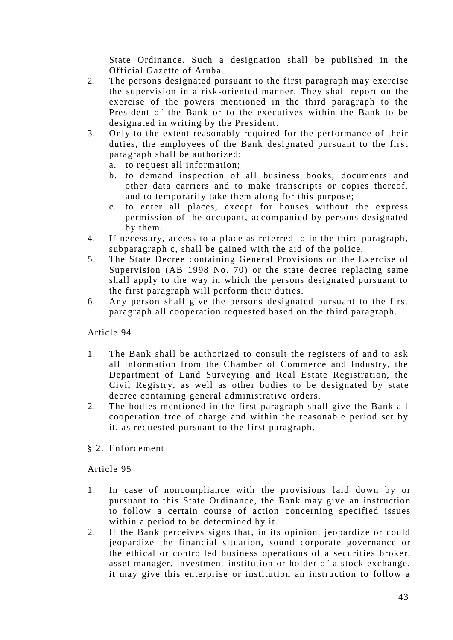State Ordinance. Such a designation shall be published in the Official Gazette of Aruba.

- 2. The persons designated pursuant to the first paragraph may exercise the supervision in a risk-oriented manner. They shall report on the exercise of the powers mentioned in the third paragraph to the President of the Bank or to the executives within the Bank to be designated in writing by the President.
- 3. Only to the extent reasonably required for the performance of their duties, the employees of the Bank designated pursuant to the first paragraph shall be authorized:
	- a. to request all information;
	- b. to demand inspection of all business books, documents and other data carriers and to make transcripts or copies thereof, and to temporarily take them along for this purpose;
	- c. to enter all places, except for houses without the express permission of the occupant, accompanied by persons designated by them.
- 4. If necessary, access to a place as referred to in the third paragraph, subparagraph c, shall be gained with the aid of the police.
- 5. The State Decree containing General Provisions on the Exercise of Supervision (AB 1998 No. 70) or the state decree replacing same shall apply to the way in which the persons designated pursuant to the first paragraph will perform their duties.
- 6. Any person shall give the persons designated pursuant to the first paragraph all cooperation requested based on the third paragraph.

# Article 94

- 1. The Bank shall be authorized to consult the registers of and to ask all information from the Chamber of Commerce and Industry, the Department of Land Surveying and Real Estate Registration, the Civil Registry, as well as other bodies to be designated by state decree containing general administrative orders.
- 2. The bodies mentioned in the first paragraph shall give the Bank all cooperation free of charge and within the reasonable period set by it, as requested pursuant to the first paragraph.
- § 2. Enforcement

- 1. In case of noncompliance with the provisions laid down by or pursuant to this State Ordinance, the Bank may give an instruction to follow a certain course of action concerning specified issues within a period to be determined by it.
- 2. If the Bank perceives signs that, in its opinion, jeopardize or could jeopardize the financial situation, sound corporate governance or the ethical or controlled business operations of a securities broker, asset manager, investment institution or holder of a stock exchange, it may give this enterprise or institution an instruction to follow a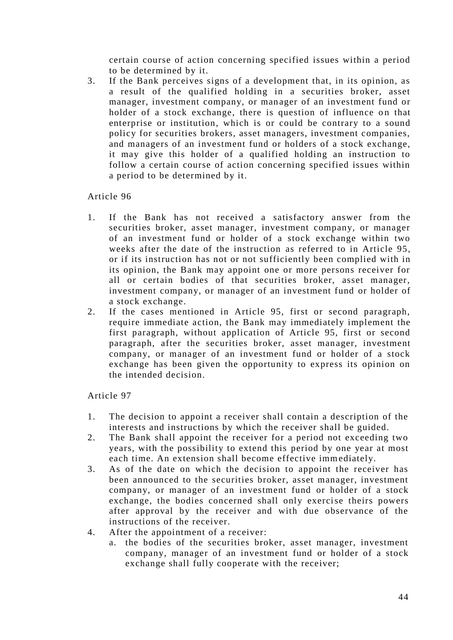certain course of action concerning specified issues within a period to be determined by it.

3. If the Bank perceives signs of a development that, in its opinion, as a result of the qualified holding in a securities broker, asset manager, investment company, or man ager of an investment fund or holder of a stock exchange, there is question of influence on that enterprise or institution, which is or could be contrary to a sound policy for securities brokers, asset managers, investment companies, and managers of an investment fund or holders of a stock exchange, it may give this holder of a qualified holding an instruction to follow a certain course of action concerning specified issues within a period to be determined by it.

## Article 96

- 1. If the Bank has not received a satisfactory answer from the securities broker, asset manager, investment company, or manager of an investment fund or holder of a stock exchange within two weeks after the date of the instruction as referred to in Article 95, or if its instruction has not or not sufficiently been complied with in its opinion, the Bank may appoint one or more persons receiver for all or certain bodies of that securities broker, asset manager, investment company, or manager of an investment fund or holder of a stock exchange.
- 2. If the cases mentioned in Article 95, first or second paragraph, require immediate action, the Bank may immediately implement the first paragraph, without application of Article 95, first or second paragraph, after the securities broker, asset manager, investment company, or manager of an investment fund or holder of a stock exchange has been given the opportunity to express its opinion on the intended decision.

- 1. The decision to appoint a receiver shall contain a description of the interests and instructions by which the receiver shall be guided.
- 2. The Bank shall appoint the receiver for a period not exceeding two years, with the possibility to extend this period by one year at most each time. An extension shall become effective immediately.
- 3. As of the date on which the decision to appoint the receiver has been announced to the securities broker, asset manager, investment company, or manager of an investment fund or holder of a stock exchange, the bodies concerned shall only exercise theirs powers after approval by the receiver and with due observance of the instructions of the receiver.
- 4. After the appointment of a receiver:
	- a. the bodies of the securities broker, asset manager, investment company, manager of an investment fund or holder of a stock exchange shall fully cooperate with the receiver;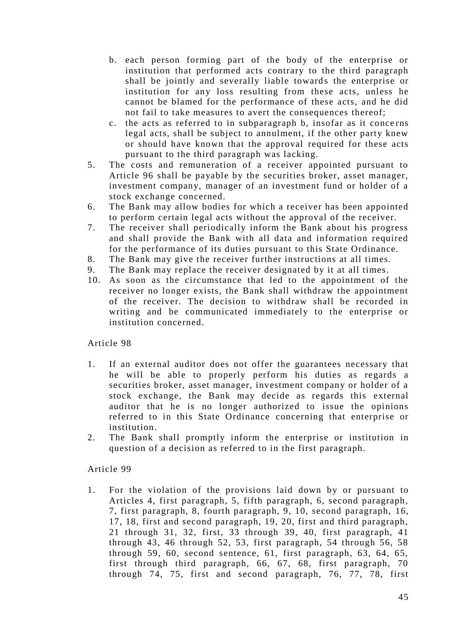- b. each person forming part of the body of the enterprise or institution that performed acts contrary to the third paragraph shall be jointly and severally liable towards the enterprise or institution for any loss resulting from these acts, unless he cannot be blamed for the performance of these acts, and he did not fail to take measures to avert the consequences thereof;
- c. the acts as referred to in subparagraph b, insofar as it concerns legal acts, shall be subject to annulment, if the other party knew or should have known that the approval required for these acts pursuant to the third paragraph was lacking.
- 5. The costs and remuneration of a receiver appointed pursuant to Article 96 shall be payable by the securities broker, asset manager, investment company, manager of an investment fund or holder of a stock exchange concerned.
- 6. The Bank may allow bodies for which a receiver has been appointed to perform certain legal acts without the approval of the receiver.
- 7. The receiver shall periodically inform the Bank about his progress and shall provide the Bank with all data and information required for the performance of its duties pursuant to this State Ordinance.
- 8. The Bank may give the receiver further instructions at all times.
- 9. The Bank may replace the receiver designated by it at all times.
- 10. As soon as the circumstance that led to the appointment of the receiver no longer exists, the Bank shall withdraw the appointment of the receiver. The decision to withdraw shall be recorded in writing and be communicated immediately to the enterprise or institution concerned.

- 1. If an external auditor does not offer the guarantees necessary that he will be able to properly perform his duties as regards a securities broker, asset manager, investment company or holder of a stock exchange, the Bank may decide as regards this external auditor that he is no longer authorized to issue the opinions referred to in this State Ordinance concerning that enterprise or institution.
- 2. The Bank shall promptly inform the enterprise or institution in question of a decision as referred to in the first paragraph.

# Article 99

1. For the violation of the provisions laid down by or pursuant to Articles 4, first paragraph, 5, fifth paragraph, 6, second paragraph, 7, first paragraph, 8, fourth paragraph, 9, 10, second paragraph, 16, 17, 18, first and second paragraph, 19, 20, first and third paragraph, 21 through 31, 32, first, 33 through 39, 40, first paragraph, 41 through 43, 46 through 52, 53, first paragraph, 54 through 56, 58 through 59, 60, second sentence, 61, first paragraph, 63, 64, 65, first through third paragraph, 66, 67, 68, first paragraph, 70 through 74, 75, first and second paragraph, 76, 77, 78, first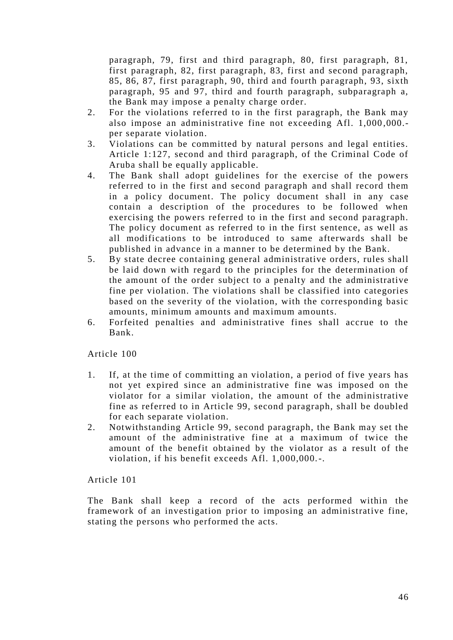paragraph, 79, first and third paragraph, 80, first paragraph, 81, first paragraph, 82, first paragraph, 83, first and second paragraph, 85, 86, 87, first paragraph, 90, third and fourth par agraph, 93, sixth paragraph, 95 and 97, third and fourth paragraph, subparagraph a, the Bank may impose a penalty charge order.

- 2. For the violations referred to in the first paragraph, the Bank may also impose an administrative fine not exceeding Afl. 1,000 ,000. per separate violation.
- 3. Violations can be committed by natural persons and legal entities. Article 1:127, second and third paragraph, of the Criminal Code of Aruba shall be equally applicable.
- 4. The Bank shall adopt guidelines for the exercise of the powers referred to in the first and second paragraph and shall record them in a policy document. The policy document shall in any case contain a description of the procedures to be followed when exercising the powers referred to in the first and second paragraph. The policy document as referred to in the first sentence, as well as all modifications to be introduced to same afterwards shall be published in advance in a manner to be determined by the Bank.
- 5. By state decree containing general administrative orders, rules shall be laid down with regard to the principles for the determination of the amount of the order subject to a penalty and the administrative fine per violation. The violations shall be classified into categories based on the severity of the violation, with the corresponding basic amounts, minimum amounts and maximum amounts.
- 6. Forfeited penalties and administrative fines shall accrue to the Bank.

Article 100

- 1. If, at the time of committing an violation, a period of five years has not yet expired since an administrative fine was imposed on the violator for a similar violation, the amount of the administrative fine as referred to in Article 99, second paragraph, shall be doubled for each separate violation.
- 2. Notwithstanding Article 99, second paragraph, the Bank may set the amount of the administrative fine at a maximum of twice the amount of the benefit obtained by the violator as a result of the violation, if his benefit exceeds Afl. 1,000,000.-.

Article 101

The Bank shall keep a record of the acts performed within the framework of an investigation prior to imposing an administrative fine, stating the persons who performed the acts.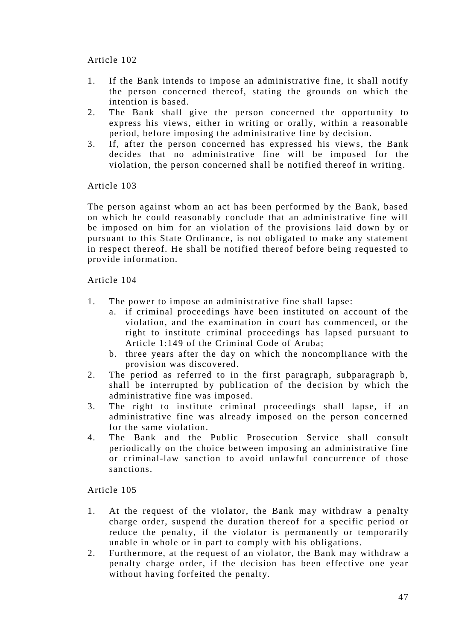- 1. If the Bank intends to impose an administrative fine, it shall notify the person concerned thereof, stating the grounds on which the intention is based.
- 2. The Bank shall give the person concerned the opportunity to express his views, either in writing or orally, within a reasonable period, before imposing the administrative fine by decision.
- 3. If, after the person concerned has expressed his views, the Bank decides that no administrative fine will be imposed for the violation, the person concerned shall be notified thereof in writing.

Article 103

The person against whom an act has been performed by the Bank, based on which he could reasonably conclude that an administrative fine will be imposed on him for an violation of the provisions laid down by or pursuant to this State Ordinance, is not obligated to make any statement in respect thereof. He shall be notified thereof before being requested to provide information.

# Article 104

- 1. The power to impose an administrative fine shall lapse:
	- a. if criminal proceedings have been instituted on account of the violation, and the examination in court has commenced, or the right to institute criminal proceedings has lapsed pursuant to Article 1:149 of the Criminal Code of Aruba;
	- b. three years after the day on which the noncompliance with the provision was discovered.
- 2. The period as referred to in the first paragraph, subparagraph b, shall be interrupted by publication of the decision by which the administrative fine was imposed.
- 3. The right to institute criminal proceedings shall lapse, if an administrative fine was already imposed on the person concerned for the same violation.
- 4. The Bank and the Public Prosecution Service shall consult periodically on the choice between imposing an administrative fine or criminal-law sanction to avoid unlawful concurrence of those sanctions.

- 1. At the request of the violator, the Bank may withdraw a penalty charge order, suspend the duration thereof for a specific period or reduce the penalty, if the violator is permanently or temporarily unable in whole or in part to comply with his obligations.
- 2. Furthermore, at the request of an violator, the Bank may withdraw a penalty charge order, if the decision has been effective one year without having forfeited the penalty.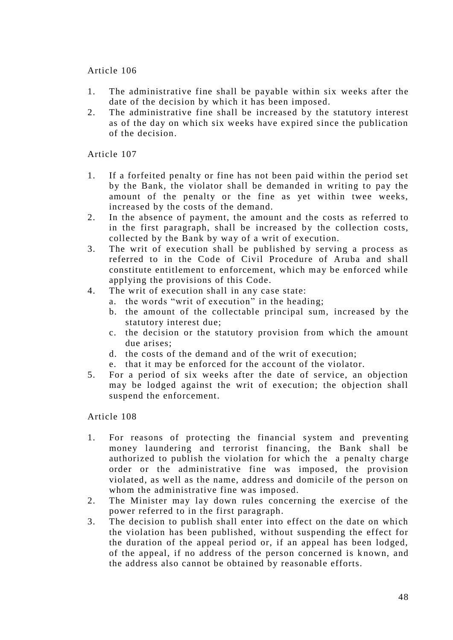- 1. The administrative fine shall be payable within six weeks after the date of the decision by which it has been imposed.
- 2. The administrative fine shall be increased by the statutory interest as of the day on which six weeks have expired since the publication of the decision.

## Article 107

- 1. If a forfeited penalty or fine has not been paid within the period set by the Bank, the violator shall be demanded in writing to pay the amount of the penalty or the fine as yet within twee weeks, increased by the costs of the demand.
- 2. In the absence of payment, the amount and the costs as referred to in the first paragraph, shall be increased by the collection costs, collected by the Bank by way of a writ of execution.
- 3. The writ of execution shall be published by serving a process as referred to in the Code of Civil Procedure of Aruba and shall constitute entitlement to enforcement, which may be enforced while applying the provisions of this Code.
- 4. The writ of execution shall in any case state:
	- a. the words "writ of execution" in the heading;
	- b. the amount of the collectable principal sum, increased by the statutory interest due;
	- c. the decision or the statutory provision from which the amount due arises;
	- d. the costs of the demand and of the writ of execution;
	- e. that it may be enforced for the account of the violator.
- 5. For a period of six weeks after the date of service, an objection may be lodged against the writ of execution; the objection shall suspend the enforcement.

- 1. For reasons of protecting the financial system and preventing money laundering and terrorist financing, the Bank shall be authorized to publish the violation for which the a penalty charge order or the administrative fine was imposed, the provision violated, as well as the name, address and domicile of the person on whom the administrative fine was imposed.
- 2. The Minister may lay down rules concerning the exercise of the power referred to in the first paragraph.
- 3. The decision to publish shall enter into effect on the date on which the violation has been published, without suspending the effect for the duration of the appeal period or, if an appeal has been lodged, of the appeal, if no address of the person concerned is known, and the address also cannot be obtained by reasonable efforts.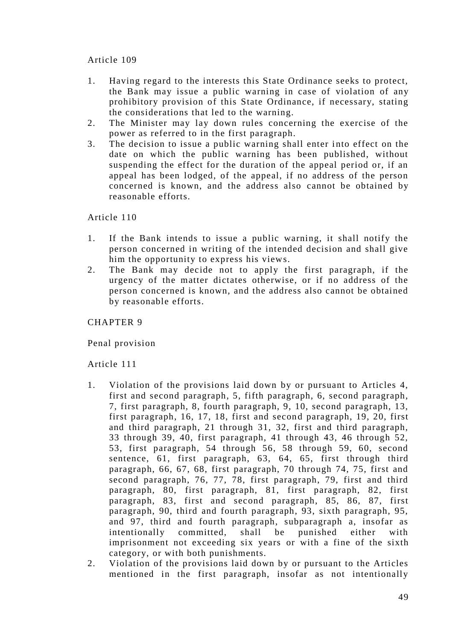- 1. Having regard to the interests this State Ordinance seeks to protect, the Bank may issue a public warning in case of violation of any prohibitory provision of this State Ordinance, if necessary, stating the considerations that led to the warning.
- 2. The Minister may lay down rules concerning the exercise of the power as referred to in the first paragraph.
- 3. The decision to issue a public warning shall enter into effect on the date on which the public warning has been published, without suspending the effect for the duration of the appeal period or, if an appeal has been lodged, of the appeal, if no address of the person concerned is known, and the address also cannot be obtained by reasonable efforts.

Article 110

- 1. If the Bank intends to issue a public warning, it shall notify the person concerned in writing of the intended decision and shall give him the opportunity to express his views.
- 2. The Bank may decide not to apply the first paragraph, if the urgency of the matter dictates otherwise, or if no address of the person concerned is known, and the address also cannot be obtained by reasonable efforts.

CHAPTER 9

Penal provision

- 1. Violation of the provisions laid down by or pursuant to Articles 4, first and second paragraph, 5, fifth paragraph, 6, second paragraph, 7, first paragraph, 8, fourth paragraph, 9, 10, second paragraph, 13, first paragraph, 16, 17, 18, first and second paragraph, 19, 20, first and third paragraph, 21 through 31, 32, first and third paragraph, 33 through 39, 40, first paragraph, 41 through 43, 46 through 52, 53, first paragraph, 54 through 56, 58 through 59, 60, second sentence, 61, first paragraph, 63, 64, 65, first through third paragraph, 66, 67, 68, first paragraph, 70 through 74, 75, first and second paragraph, 76, 77, 78, first paragraph, 79, first and third paragraph, 80, first paragraph, 81, first paragraph, 82, first paragraph, 83, first and second paragraph, 85, 86, 87, first paragraph, 90, third and fourth paragraph, 93, sixth paragraph, 95, and 97, third and fourth paragraph, subparagraph a, insofar as intentionally committed, shall be punished either with imprisonment not exceeding six years or with a fine of the sixth category, or with both punishments.
- 2. Violation of the provisions laid down by or pursuant to the Articles mentioned in the first paragraph, insofar as not intentionally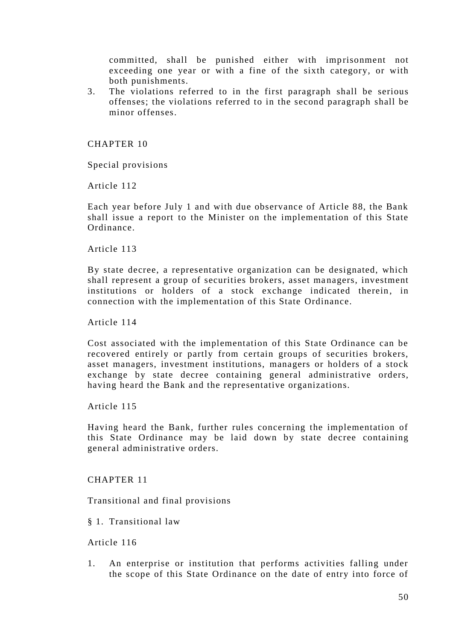committed, shall be punished either with imprisonment not exceeding one year or with a fine of the sixth category, or with both punishments.

3. The violations referred to in the first paragraph shall be serious offenses; the violations referred to in the second paragraph shall be minor offenses.

CHAPTER 10

Special provisions

Article 112

Each year before July 1 and with due observance of Article 88, the Bank shall issue a report to the Minister on the implementation of this State Ordinance.

Article 113

By state decree, a representative organization can be designated, which shall represent a group of securities brokers, asset managers, investment institutions or holders of a stock exchange indicated therein, in connection with the implementation of this State Ordinance.

Article 114

Cost associated with the implementation of this State Ordinance can be recovered entirely or partly from certain groups of securities brokers, asset managers, investment institutions, managers or holders of a stock exchange by state decree containing general administrative orders, having heard the Bank and the representative organizations.

Article 115

Having heard the Bank, further rules concerning the implementation of this State Ordinance may be laid down by state decree containing general administrative orders.

CHAPTER 11

Transitional and final provisions

§ 1. Transitional law

Article 116

1. An enterprise or institution that performs activities falling under the scope of this State Ordinance on the date of entry into force of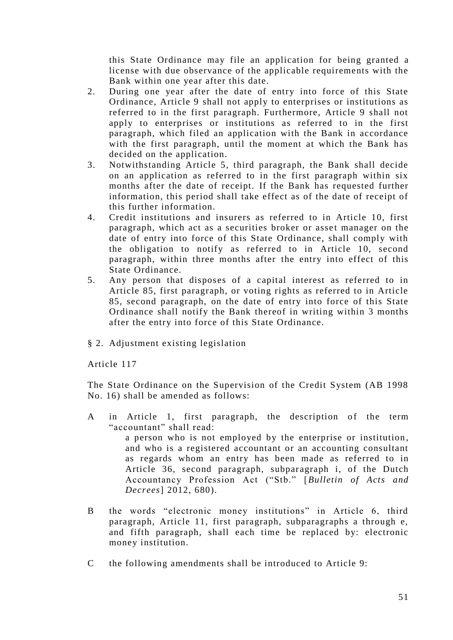this State Ordinance may file an application for being granted a license with due observance of the applicable requirements with the Bank within one year after this date.

- 2. During one year after the date of entry into force of this State Ordinance, Article 9 shall not apply to enterprises or institutions as referred to in the first paragraph. Furthermore, Article 9 shall not apply to enterprises or institutions as referred to in the first paragraph, which filed an application with the Bank in accordance with the first paragraph, until the moment at which the Bank has decided on the application.
- 3. Notwithstanding Article 5, third paragraph, the Bank shall decide on an application as referred to in the first paragraph within six months after the date of receipt. If the Bank has requested further information, this period shall take effect as of the date of receipt of this further information.
- 4. Credit institutions and insurers as referred to in Article 10, first paragraph, which act as a securities broker or asset manager on the date of entry into force of this State Ordinance, shall comply with the obligation to notify as referred to in Article 10, second paragraph, within three months after the entry into effect of this State Ordinance.
- 5. Any person that disposes of a capital interest as referred to in Article 85, first paragraph, or voting rights as referred to in Article 85, second paragraph, on the date of entry into force of this State Ordinance shall notify the Bank thereof in writing within 3 months after the entry into force of this State Ordinance.
- § 2. Adjustment existing legislation

Article 117

The State Ordinance on the Supervision of the Credit System (AB 1998 No. 16) shall be amended as follows:

- A in Article 1, first paragraph, the description of the term "accountant" shall read: a person who is not employed by the enterprise or institution, and who is a registered accountant or an accounting consultant as regards whom an entry has been made as referred to in Article 36, second paragraph, subparagraph i, of the Dutch Accountancy Profession Act ("Stb." [*Bulletin of Acts and Decrees*] 2012, 680).
- B the words "electronic money institutions" in Article 6, third paragraph, Article 11, first paragraph, subparagraphs a through e, and fifth paragraph, shall each time be replaced by: electronic money institution.
- C the following amendments shall be introduced to Article 9: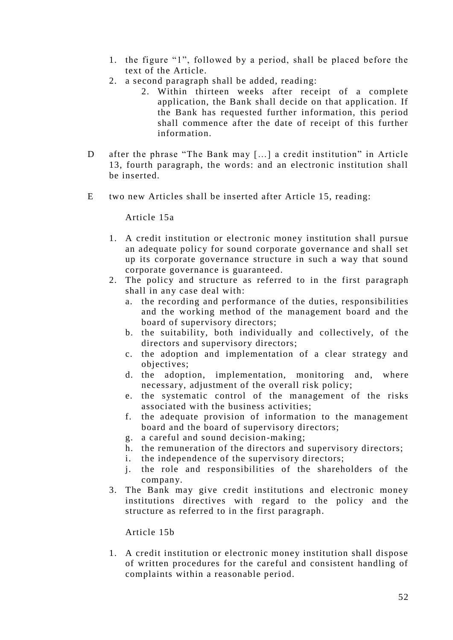- 1. the figure "1", followed by a period, shall be placed before the text of the Article.
- 2. a second paragraph shall be added, reading:
	- 2. Within thirteen weeks after receipt of a complete application, the Bank shall decide on that application. If the Bank has requested further information, this period shall commence after the date of receipt of this further information.
- D after the phrase "The Bank may […] a credit institution" in Article 13, fourth paragraph, the words: and an electronic institution shall be inserted.
- E two new Articles shall be inserted after Article 15, reading:

Article 15a

- 1. A credit institution or electronic money institution shall pursue an adequate policy for sound corporate governance and shall set up its corporate governance structure in such a way that sound corporate governance is guaranteed.
- 2. The policy and structure as referred to in the first paragraph shall in any case deal with:
	- a. the recording and performance of the duties, responsibilities and the working method of the management board and the board of supervisory directors;
	- b. the suitability, both individually and collectively, of the directors and supervisory directors;
	- c. the adoption and implementation of a clear strategy and objectives;
	- d. the adoption, implementation, monitoring and, where necessary, adjustment of the overall risk policy;
	- e. the systematic control of the management of the risks associated with the business activities;
	- f. the adequate provision of information to the management board and the board of supervisory directors;
	- g. a careful and sound decision-making;
	- h. the remuneration of the directors and supervisory directors;
	- i. the independence of the supervisory directors;
	- j. the role and responsibilities of the shareholders of the company.
- 3. The Bank may give credit institutions and electronic money institutions directives with regard to the policy and the structure as referred to in the first paragraph.

Article 15b

1. A credit institution or electronic money institution shall dispose of written procedures for the careful and consistent handling of complaints within a reasonable period.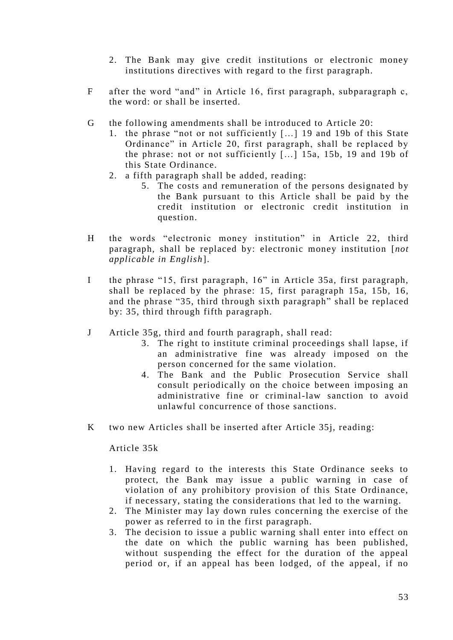- 2. The Bank may give credit institutions or electronic money institutions directives with regard to the first paragraph.
- F after the word "and" in Article 16, first paragraph, subparagraph c, the word: or shall be inserted.
- G the following amendments shall be introduced to Article 20:
	- 1. the phrase "not or not sufficiently […] 19 and 19b of this State Ordinance" in Article 20, first paragraph, shall be replaced by the phrase: not or not sufficiently […] 15a, 15b, 19 and 19b of this State Ordinance.
	- 2. a fifth paragraph shall be added, reading:
		- 5. The costs and remuneration of the persons designated by the Bank pursuant to this Article shall be paid by the credit institution or electronic credit institution in question.
- H the words "electronic money institution" in Article 22, third paragraph, shall be replaced by: electronic money institution [*not applicable in English*].
- I the phrase "15, first paragraph, 16" in Article 35a, first paragraph, shall be replaced by the phrase: 15, first paragraph 15a, 15b, 16, and the phrase "35, third through sixth paragraph" shall be replaced by: 35, third through fifth paragraph.
- J Article 35g, third and fourth paragraph, shall read:
	- 3. The right to institute criminal proceedings shall lapse, if an administrative fine was already imposed on the person concerned for the same violation.
	- 4. The Bank and the Public Prosecution Service shall consult periodically on the choice between imposing an administrative fine or criminal-law sanction to avoid unlawful concurrence of those sanctions.
- K two new Articles shall be inserted after Article 35j, reading:

# Article 35k

- 1. Having regard to the interests this State Ordinance seeks to protect, the Bank may issue a public warning in case of violation of any prohibitory provision of this State Ordinance, if necessary, stating the considerations that led to the warning.
- 2. The Minister may lay down rules concerning the exercise of the power as referred to in the first paragraph.
- 3. The decision to issue a public warning shall enter into effect on the date on which the public warning has been published, without suspending the effect for the duration of the appeal period or, if an appeal has been lodged, of the appeal, if no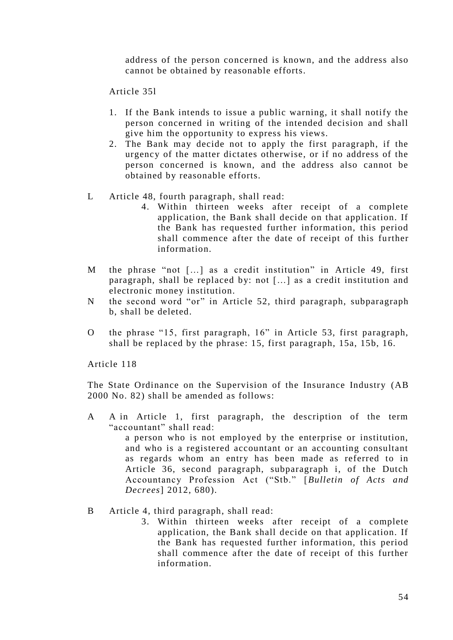address of the person concerned is known, and the address also cannot be obtained by reasonable efforts.

Article 35l

- 1. If the Bank intends to issue a public warning, it shall notify the person concerned in writing of the intended decision and shall give him the opportunity to express his views.
- 2. The Bank may decide not to apply the first paragraph, if the urgency of the matter dictates otherwise, or if no address of the person concerned is known, and the address also cannot be obtained by reasonable efforts.
- L Article 48, fourth paragraph, shall read:
	- 4. Within thirteen weeks after receipt of a complete application, the Bank shall decide on that application. If the Bank has requested further information, this period shall commence after the date of receipt of this further information.
- M the phrase "not […] as a credit institution" in Article 49, first paragraph, shall be replaced by: not […] as a credit institution and electronic money institution.
- N the second word "or" in Article 52, third paragraph, subparagraph b, shall be deleted.
- O the phrase "15, first paragraph, 16" in Article 53, first paragraph, shall be replaced by the phrase: 15, first paragraph, 15a, 15b, 16.

Article 118

The State Ordinance on the Supervision of the Insurance Industry (AB 2000 No. 82) shall be amended as follows:

A A in Article 1, first paragraph, the description of the term "accountant" shall read:

a person who is not employed by the enterprise or institution, and who is a registered accountant or an accounting consultant as regards whom an entry has been made as referred to in Article 36, second paragraph, subparagraph i, of the Dutch Accountancy Profession Act ("Stb." [*Bulletin of Acts and Decrees*] 2012, 680).

- B Article 4, third paragraph, shall read:
	- 3. Within thirteen weeks after receipt of a complete application, the Bank shall decide on that application. If the Bank has requested further information, this period shall commence after the date of receipt of this further information.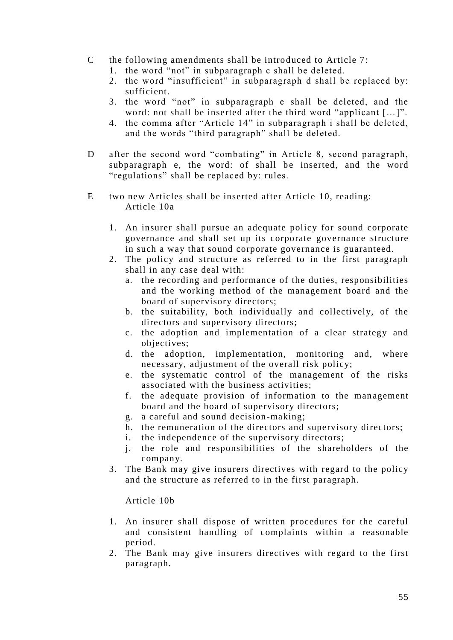- C the following amendments shall be introduced to Article 7:
	- 1. the word "not" in subparagraph c shall be deleted.
	- 2. the word "insufficient" in subparagraph d shall be replaced by: sufficient.
	- 3. the word "not" in subparagraph e shall be deleted, and the word: not shall be inserted after the third word "applicant […]".
	- 4. the comma after "Article 14" in subparagraph i shall be deleted, and the words "third paragraph" shall be deleted.
- D after the second word "combating" in Article 8, second paragraph, subparagraph e, the word: of shall be inserted, and the word "regulations" shall be replaced by: rules.
- E two new Articles shall be inserted after Article 10, reading: Article 10a
	- 1. An insurer shall pursue an adequate policy for sound corporate governance and shall set up its corporate governance structure in such a way that sound corporate governance is guaranteed.
	- 2. The policy and structure as referred to in the first paragraph shall in any case deal with:
		- a. the recording and performance of the duties, responsibilities and the working method of the management board and the board of supervisory directors;
		- b. the suitability, both individually and collectively, of the directors and supervisory directors;
		- c. the adoption and implementation of a clear strategy and objectives;
		- d. the adoption, implementation, monitoring and, where necessary, adjustment of the overall risk policy;
		- e. the systematic control of the management of the risks associated with the business activities;
		- f. the adequate provision of information to the man agement board and the board of supervisory directors;
		- g. a careful and sound decision-making;
		- h. the remuneration of the directors and supervisory directors;
		- i. the independence of the supervisory directors;
		- j. the role and responsibilities of the shareholders of the company.
	- 3. The Bank may give insurers directives with regard to the policy and the structure as referred to in the first paragraph.

Article 10b

- 1. An insurer shall dispose of written procedures for the careful and consistent handling of complaints within a reasonable period.
- 2. The Bank may give insurers directives with regard to the first paragraph.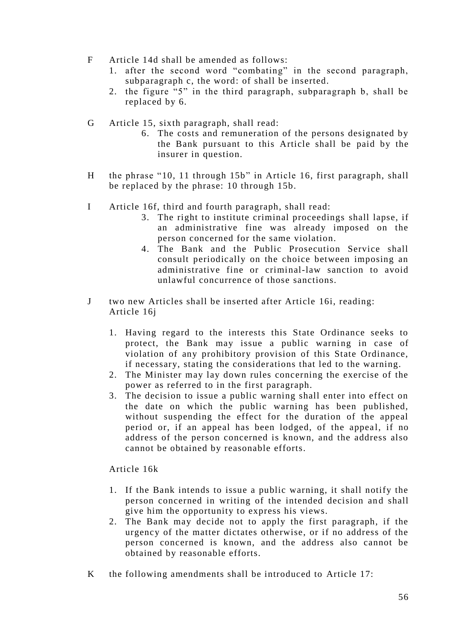- F Article 14d shall be amended as follows:
	- 1. after the second word "combating" in the second paragraph, subparagraph c, the word: of shall be inserted.
	- 2. the figure "5" in the third paragraph, subparagraph b, shall be replaced by 6.
- G Article 15, sixth paragraph, shall read:
	- 6. The costs and remuneration of the persons designated by the Bank pursuant to this Article shall be paid by the insurer in question.
- H the phrase "10, 11 through 15b" in Article 16, first paragraph, shall be replaced by the phrase: 10 through 15b.
- I Article 16f, third and fourth paragraph, shall read:
	- 3. The right to institute criminal proceedings shall lapse, if an administrative fine was already imposed on the person concerned for the same violation.
	- 4. The Bank and the Public Prosecution Service shall consult periodically on the choice between imposing an administrative fine or criminal-law sanction to avoid unlawful concurrence of those sanctions.
- J two new Articles shall be inserted after Article 16i, reading: Article 16j
	- 1. Having regard to the interests this State Ordinance seeks to protect, the Bank may issue a public warning in case of violation of any prohibitory provision of this State Ordinance, if necessary, stating the considerations that led to the warning.
	- 2. The Minister may lay down rules concerning the exercise of the power as referred to in the first paragraph.
	- 3. The decision to issue a public warning shall enter into effect on the date on which the public warning has been published, without suspending the effect for the duration of the appeal period or, if an appeal has been lodged, of the appeal, if no address of the person concerned is known, and the address also cannot be obtained by reasonable efforts.

Article 16k

- 1. If the Bank intends to issue a public warning, it shall notify the person concerned in writing of the intended decision and shall give him the opportunity to express his views.
- 2. The Bank may decide not to apply the first paragraph, if the urgency of the matter dictates otherwise, or if no address of the person concerned is known, and the address also cannot be obtained by reasonable efforts.
- K the following amendments shall be introduced to Article 17: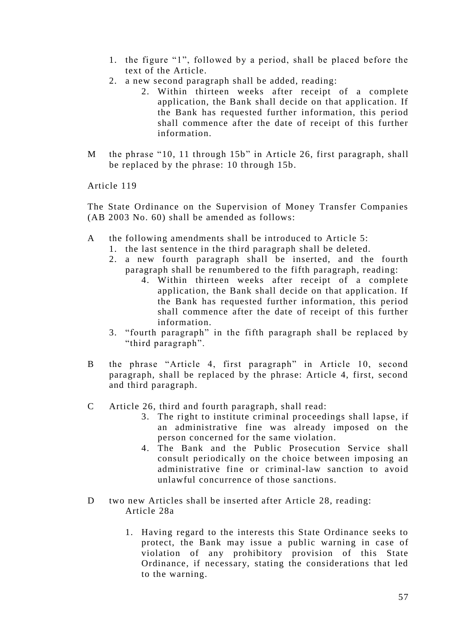- 1. the figure "1", followed by a period, shall be placed before the text of the Article.
- 2. a new second paragraph shall be added, reading:
	- 2. Within thirteen weeks after receipt of a complete application, the Bank shall decide on that application. If the Bank has requested further information, this period shall commence after the date of receipt of this further information.
- M the phrase "10, 11 through 15b" in Article 26, first paragraph, shall be replaced by the phrase: 10 through 15b.

The State Ordinance on the Supervision of Money Transfer Companies (AB 2003 No. 60) shall be amended as follows:

- A the following amendments shall be introduced to Article 5:
	- 1. the last sentence in the third paragraph shall be deleted.
	- 2. a new fourth paragraph shall be inserted, and the fourth paragraph shall be renumbered to the fifth paragraph, reading:
		- 4. Within thirteen weeks after receipt of a complete application, the Bank shall decide on that application. If the Bank has requested further information, this period shall commence after the date of receipt of this further information.
	- 3. "fourth paragraph" in the fifth paragraph shall be replaced by "third paragraph".
- B the phrase "Article 4, first paragraph" in Article 10, second paragraph, shall be replaced by the phrase: Article 4, first, second and third paragraph.
- C Article 26, third and fourth paragraph, shall read:
	- 3. The right to institute criminal proceedings shall lapse, if an administrative fine was already imposed on the person concerned for the same violation.
	- 4. The Bank and the Public Prosecution Service shall consult periodically on the choice between imposing an administrative fine or criminal-law sanction to avoid unlawful concurrence of those sanctions.
- D two new Articles shall be inserted after Article 28, reading: Article 28a
	- 1. Having regard to the interests this State Ordinance seeks to protect, the Bank may issue a public warning in case of violation of any prohibitory provision of this State Ordinance, if necessary, stating the considerations that led to the warning.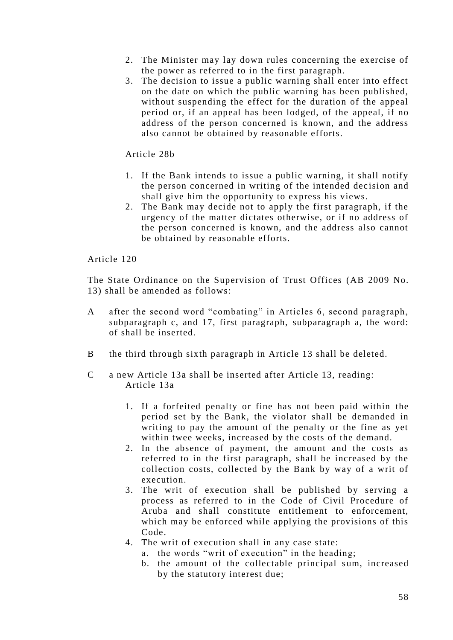- 2. The Minister may lay down rules concerning the exercise of the power as referred to in the first paragraph.
- 3. The decision to issue a public warning shall enter into effect on the date on which the public warning has been published, without suspending the effect for the duration of the appeal period or, if an appeal has been lodged, of the appeal, if no address of the person concerned is known, and the address also cannot be obtained by reasonable efforts.

Article 28b

- 1. If the Bank intends to issue a public warning, it shall notify the person concerned in writing of the intended decision and shall give him the opportunity to express his views.
- 2. The Bank may decide not to apply the first paragraph, if the urgency of the matter dictates otherwise, or if no address of the person concerned is known, and the address also cannot be obtained by reasonable efforts.

Article 120

The State Ordinance on the Supervision of Trust Offices (AB 2009 No. 13) shall be amended as follows:

- A after the second word "combating" in Articles 6, second paragraph, subparagraph c, and 17, first paragraph, subparagraph a, the word: of shall be inserted.
- B the third through sixth paragraph in Article 13 shall be deleted.
- C a new Article 13a shall be inserted after Article 13, reading: Article 13a
	- 1. If a forfeited penalty or fine has not been paid within the period set by the Bank, the violator shall be demanded in writing to pay the amount of the penalty or the fine as yet within twee weeks, increased by the costs of the demand.
	- 2. In the absence of payment, the amount and the costs as referred to in the first paragraph, shall be increased by the collection costs, collected by the Bank by way of a writ of execution.
	- 3. The writ of execution shall be published by serving a process as referred to in the Code of Civil Procedure of Aruba and shall constitute entitlement to enforcement, which may be enforced while applying the provisions of this Code.
	- 4. The writ of execution shall in any case state:
		- a. the words "writ of execution" in the heading;
		- b. the amount of the collectable principal sum, increased by the statutory interest due;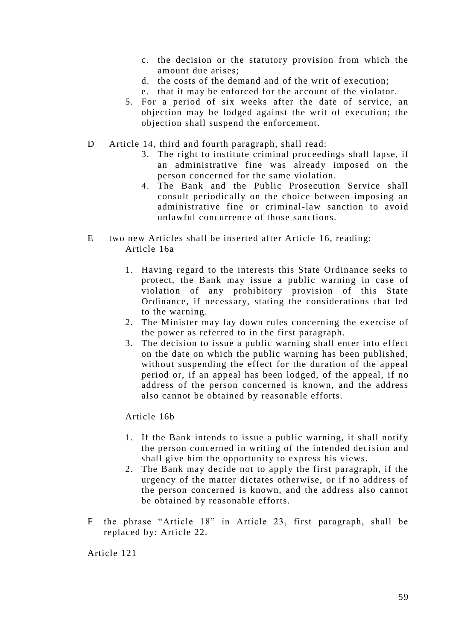- c. the decision or the statutory provision from which the amount due arises;
- d. the costs of the demand and of the writ of execution;
- e. that it may be enforced for the account of the violator.
- 5. For a period of six weeks after the date of service, an objection may be lodged against the writ of execution; the objection shall suspend the enforcement.
- D Article 14, third and fourth paragraph, shall read:
	- 3. The right to institute criminal proceedings shall lapse, if an administrative fine was already imposed on the person concerned for the same violation.
	- 4. The Bank and the Public Prosecution Service shall consult periodically on the choice between imposing an administrative fine or criminal-law sanction to avoid unlawful concurrence of those sanctions.
- E two new Articles shall be inserted after Article 16, reading: Article 16a
	- 1. Having regard to the interests this State Ordinance seeks to protect, the Bank may issue a public warning in case of violation of any prohibitory provision of this State Ordinance, if necessary, stating the considerations that led to the warning.
	- 2. The Minister may lay down rules concerning the exercise of the power as referred to in the first paragraph.
	- 3. The decision to issue a public warning shall enter into effect on the date on which the public warning has been published, without suspending the effect for the duration of the appeal period or, if an appeal has been lodged, of the appeal, if no address of the person concerned is known, and the address also cannot be obtained by reasonable efforts.

Article 16b

- 1. If the Bank intends to issue a public warning, it shall notify the person concerned in writing of the intended decision and shall give him the opportunity to express his views.
- 2. The Bank may decide not to apply the first paragraph, if the urgency of the matter dictates otherwise, or if no address of the person concerned is known, and the address also cannot be obtained by reasonable efforts.
- F the phrase "Article 18" in Article 23, first paragraph, shall be replaced by: Article 22.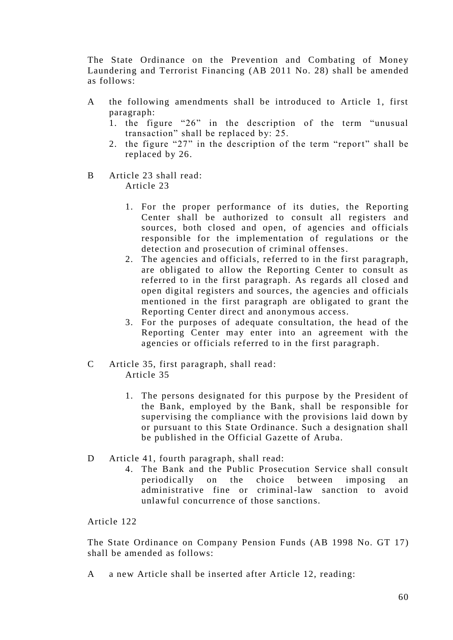The State Ordinance on the Prevention and Combating of Money Laundering and Terrorist Financing (AB 2011 No. 28) shall be amended as follows:

- A the following amendments shall be introduced to Article 1, first paragraph:
	- 1. the figure "26" in the description of the term "unusual transaction" shall be replaced by: 25.
	- 2. the figure "27" in the description of the term "report" shall be replaced by 26.
- B Article 23 shall read: Article 23
	- 1. For the proper performance of its duties, the Reporting Center shall be authorized to consult all registers and sources, both closed and open, of agencies and officials responsible for the implementation of regulations or the detection and prosecution of criminal offenses.
	- 2. The agencies and officials, referred to in the first paragraph, are obligated to allow the Reporting Center to consult as referred to in the first paragraph. As regards all closed and open digital registers and sources, the agencies and officials mentioned in the first paragraph are obligated to grant the Reporting Center direct and anonymous access.
	- 3. For the purposes of adequate consultation, the head of the Reporting Center may enter into an agreement with the agencies or officials referred to in the first paragraph.
- C Article 35, first paragraph, shall read: Article 35
	- 1. The persons designated for this purpose by the President of the Bank, employed by the Bank, shall be responsible for supervising the compliance with the provisions laid down by or pursuant to this State Ordinance. Such a designation shall be published in the Official Gazette of Aruba.
- D Article 41, fourth paragraph, shall read:
	- 4. The Bank and the Public Prosecution Service shall consult periodically on the choice between imposing an administrative fine or criminal-law sanction to avoid unlawful concurrence of those sanctions.

#### Article 122

The State Ordinance on Company Pension Funds (AB 1998 No. GT 17) shall be amended as follows:

A a new Article shall be inserted after Article 12, reading: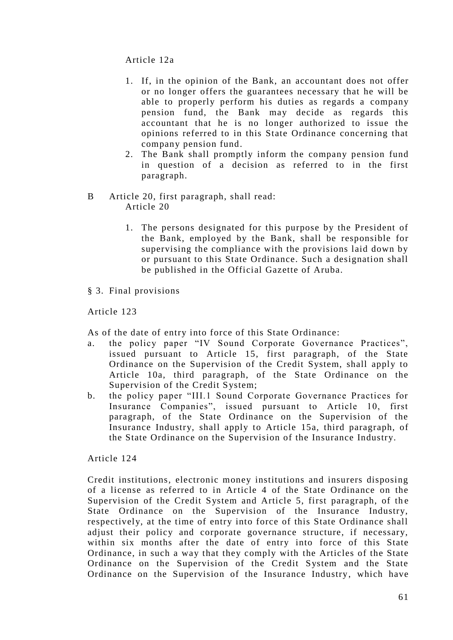Article 12a

- 1. If, in the opinion of the Bank, an accountant does not offer or no longer offers the guarantees necessary that he will be able to properly perform his duties as regards a company pension fund, the Bank may decide as regards this accountant that he is no longer authorized to issue the opinions referred to in this State Ordinance concerning that company pension fund.
- 2. The Bank shall promptly inform the company pension fund in question of a decision as referred to in the first paragraph.
- B Article 20, first paragraph, shall read: Article 20
	- 1. The persons designated for this purpose by the President of the Bank, employed by the Bank, shall be responsible for supervising the compliance with the provisions laid down by or pursuant to this State Ordinance. Such a designation shall be published in the Official Gazette of Aruba.
- § 3. Final provisions

Article 123

As of the date of entry into force of this State Ordinance:

- a. the policy paper "IV Sound Corporate Governance Practices", issued pursuant to Article 15, first paragraph, of the State Ordinance on the Supervision of the Credit System, shall apply to Article 10a, third paragraph, of the State Ordinance on the Supervision of the Credit System;
- b. the policy paper "III.1 Sound Corporate Governance Practices for Insurance Companies", issued pursuant to Article 10, first paragraph, of the State Ordinance on the Supervision of the Insurance Industry, shall apply to Article 15a, third paragraph, of the State Ordinance on the Supervision of the Insurance Industry.

Article 124

Credit institutions, electronic money institutions and insurers disposing of a license as referred to in Article 4 of the State Ordinance on the Supervision of the Credit System and Article 5, first paragraph, of the State Ordinance on the Supervision of the Insurance Industry, respectively, at the time of entry into force of this State Ordinance shall adjust their policy and corporate governance structure, if necessary, within six months after the date of entry into force of this State Ordinance, in such a way that they comply with the Articles of the State Ordinance on the Supervision of the Credit System and the State Ordinance on the Supervision of the Insurance Industry, which have